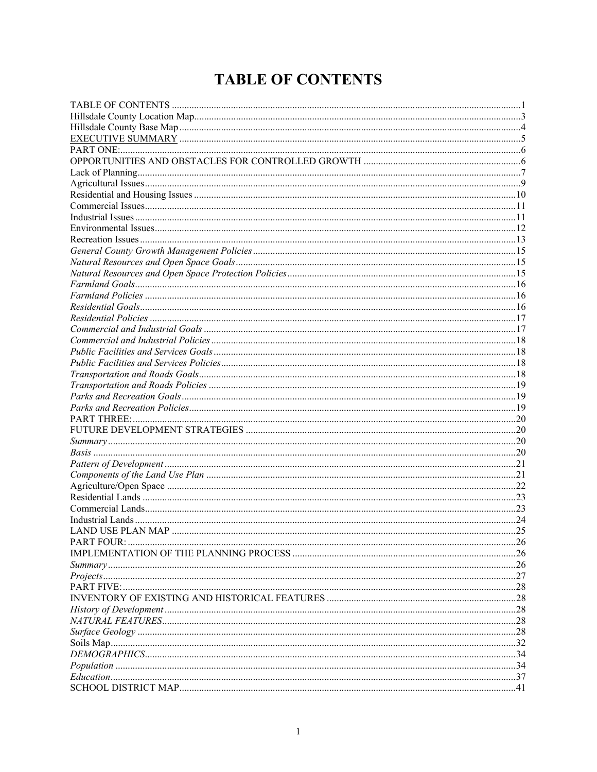# <span id="page-0-0"></span>**TABLE OF CONTENTS**

| <b>PART FIVE:</b> |  |
|-------------------|--|
|                   |  |
|                   |  |
|                   |  |
|                   |  |
|                   |  |
|                   |  |
|                   |  |
|                   |  |
|                   |  |
|                   |  |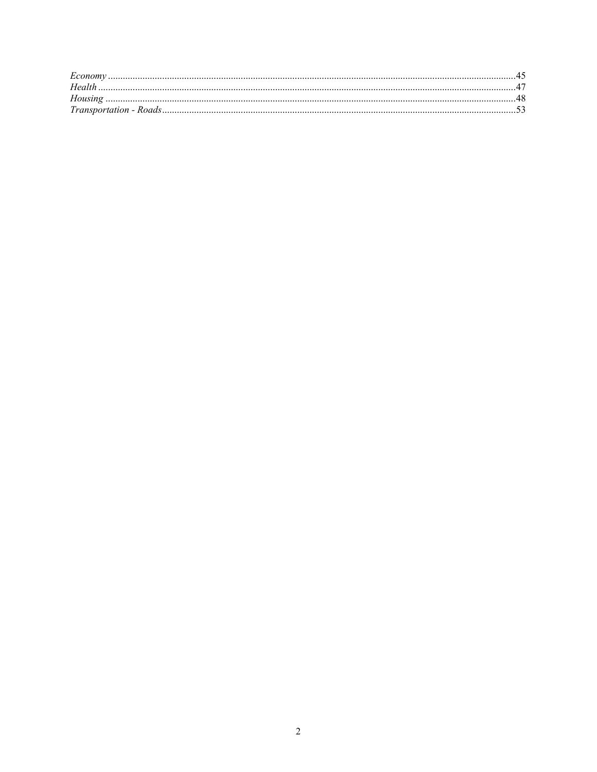| Health |  |
|--------|--|
|        |  |
|        |  |
|        |  |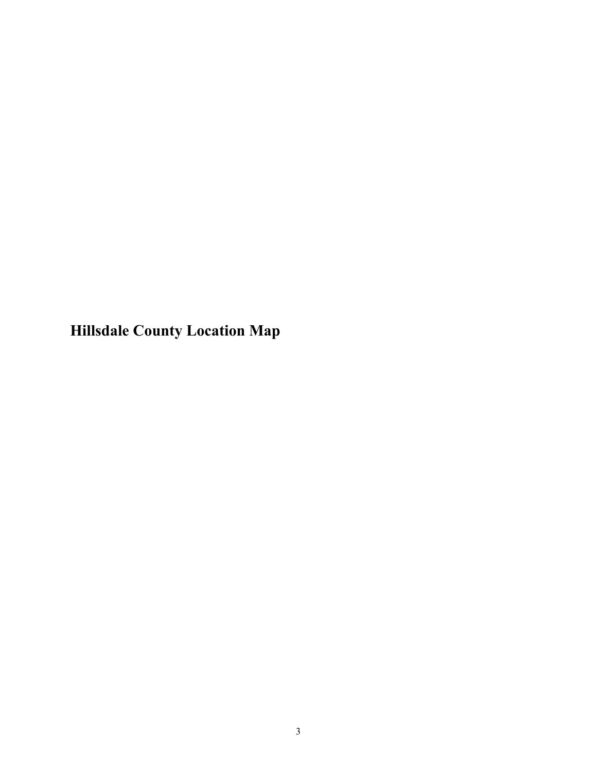<span id="page-2-0"></span>**Hillsdale County Location Map**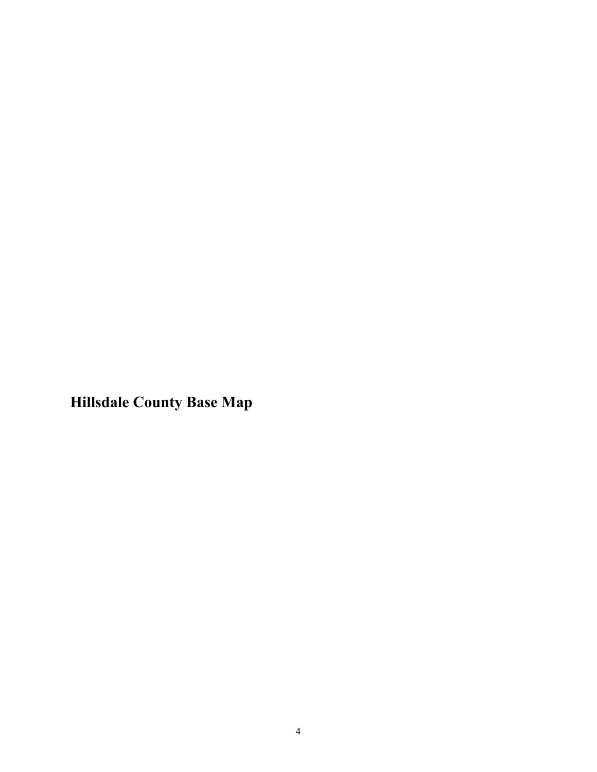<span id="page-3-0"></span>**Hillsdale County Base Map**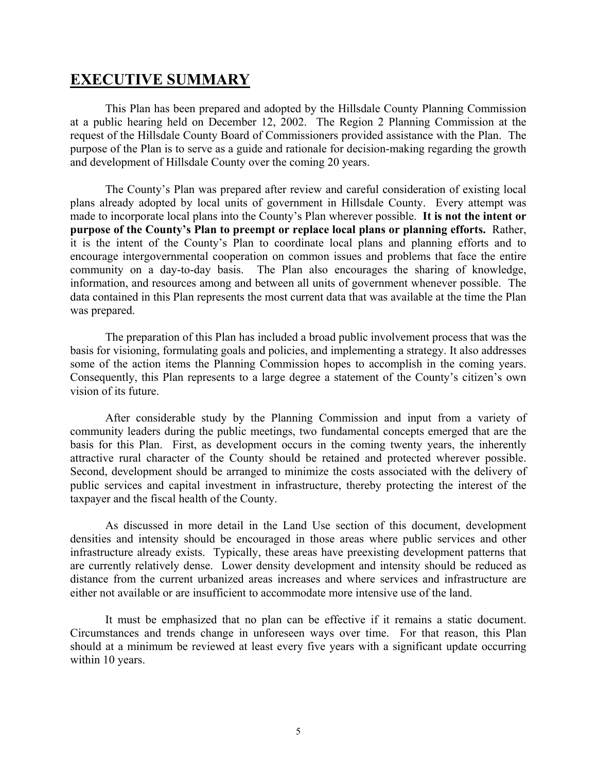# <span id="page-4-0"></span>**EXECUTIVE SUMMARY**

This Plan has been prepared and adopted by the Hillsdale County Planning Commission at a public hearing held on December 12, 2002. The Region 2 Planning Commission at the request of the Hillsdale County Board of Commissioners provided assistance with the Plan. The purpose of the Plan is to serve as a guide and rationale for decision-making regarding the growth and development of Hillsdale County over the coming 20 years.

The County's Plan was prepared after review and careful consideration of existing local plans already adopted by local units of government in Hillsdale County. Every attempt was made to incorporate local plans into the County's Plan wherever possible. **It is not the intent or purpose of the County's Plan to preempt or replace local plans or planning efforts.** Rather, it is the intent of the County's Plan to coordinate local plans and planning efforts and to encourage intergovernmental cooperation on common issues and problems that face the entire community on a day-to-day basis. The Plan also encourages the sharing of knowledge, information, and resources among and between all units of government whenever possible. The data contained in this Plan represents the most current data that was available at the time the Plan was prepared.

The preparation of this Plan has included a broad public involvement process that was the basis for visioning, formulating goals and policies, and implementing a strategy. It also addresses some of the action items the Planning Commission hopes to accomplish in the coming years. Consequently, this Plan represents to a large degree a statement of the County's citizen's own vision of its future.

After considerable study by the Planning Commission and input from a variety of community leaders during the public meetings, two fundamental concepts emerged that are the basis for this Plan. First, as development occurs in the coming twenty years, the inherently attractive rural character of the County should be retained and protected wherever possible. Second, development should be arranged to minimize the costs associated with the delivery of public services and capital investment in infrastructure, thereby protecting the interest of the taxpayer and the fiscal health of the County.

As discussed in more detail in the Land Use section of this document, development densities and intensity should be encouraged in those areas where public services and other infrastructure already exists. Typically, these areas have preexisting development patterns that are currently relatively dense. Lower density development and intensity should be reduced as distance from the current urbanized areas increases and where services and infrastructure are either not available or are insufficient to accommodate more intensive use of the land.

It must be emphasized that no plan can be effective if it remains a static document. Circumstances and trends change in unforeseen ways over time. For that reason, this Plan should at a minimum be reviewed at least every five years with a significant update occurring within 10 years.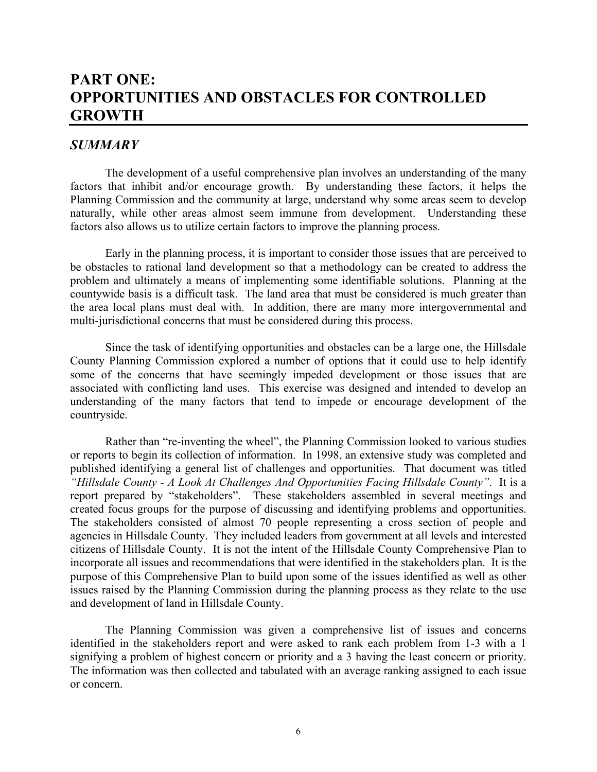# <span id="page-5-1"></span><span id="page-5-0"></span>**PART ONE: OPPORTUNITIES AND OBSTACLES FOR CONTROLLED GROWTH**

## *SUMMARY*

The development of a useful comprehensive plan involves an understanding of the many factors that inhibit and/or encourage growth. By understanding these factors, it helps the Planning Commission and the community at large, understand why some areas seem to develop naturally, while other areas almost seem immune from development. Understanding these factors also allows us to utilize certain factors to improve the planning process.

Early in the planning process, it is important to consider those issues that are perceived to be obstacles to rational land development so that a methodology can be created to address the problem and ultimately a means of implementing some identifiable solutions. Planning at the countywide basis is a difficult task. The land area that must be considered is much greater than the area local plans must deal with. In addition, there are many more intergovernmental and multi-jurisdictional concerns that must be considered during this process.

Since the task of identifying opportunities and obstacles can be a large one, the Hillsdale County Planning Commission explored a number of options that it could use to help identify some of the concerns that have seemingly impeded development or those issues that are associated with conflicting land uses. This exercise was designed and intended to develop an understanding of the many factors that tend to impede or encourage development of the countryside.

Rather than "re-inventing the wheel", the Planning Commission looked to various studies or reports to begin its collection of information. In 1998, an extensive study was completed and published identifying a general list of challenges and opportunities. That document was titled *"Hillsdale County - A Look At Challenges And Opportunities Facing Hillsdale County"*. It is a report prepared by "stakeholders". These stakeholders assembled in several meetings and created focus groups for the purpose of discussing and identifying problems and opportunities. The stakeholders consisted of almost 70 people representing a cross section of people and agencies in Hillsdale County. They included leaders from government at all levels and interested citizens of Hillsdale County. It is not the intent of the Hillsdale County Comprehensive Plan to incorporate all issues and recommendations that were identified in the stakeholders plan. It is the purpose of this Comprehensive Plan to build upon some of the issues identified as well as other issues raised by the Planning Commission during the planning process as they relate to the use and development of land in Hillsdale County.

The Planning Commission was given a comprehensive list of issues and concerns identified in the stakeholders report and were asked to rank each problem from 1-3 with a 1 signifying a problem of highest concern or priority and a 3 having the least concern or priority. The information was then collected and tabulated with an average ranking assigned to each issue or concern.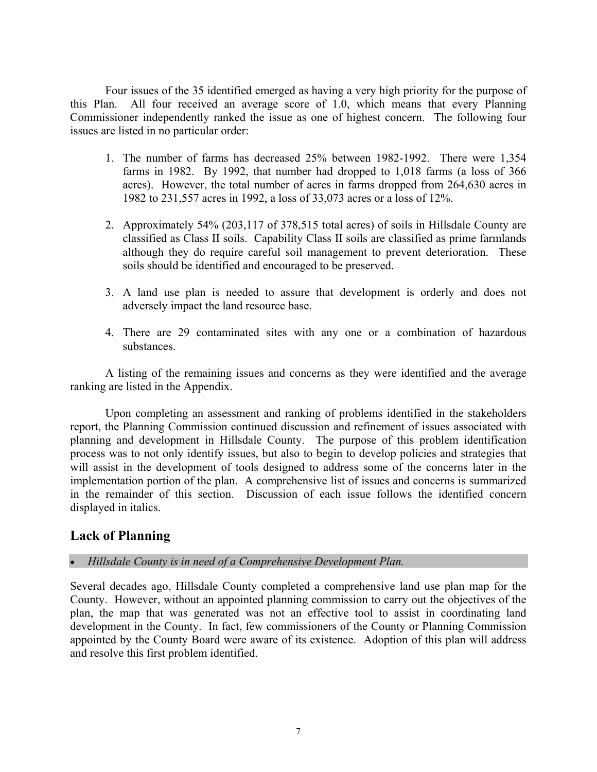Four issues of the 35 identified emerged as having a very high priority for the purpose of this Plan. All four received an average score of 1.0, which means that every Planning Commissioner independently ranked the issue as one of highest concern. The following four issues are listed in no particular order:

- 1. The number of farms has decreased 25% between 1982-1992. There were 1,354 farms in 1982. By 1992, that number had dropped to 1,018 farms (a loss of 366 acres). However, the total number of acres in farms dropped from 264,630 acres in 1982 to 231,557 acres in 1992, a loss of 33,073 acres or a loss of 12%.
- 2. Approximately 54% (203,117 of 378,515 total acres) of soils in Hillsdale County are classified as Class II soils. Capability Class II soils are classified as prime farmlands although they do require careful soil management to prevent deterioration. These soils should be identified and encouraged to be preserved.
- 3. A land use plan is needed to assure that development is orderly and does not adversely impact the land resource base.
- 4. There are 29 contaminated sites with any one or a combination of hazardous substances.

A listing of the remaining issues and concerns as they were identified and the average ranking are listed in the Appendix.

Upon completing an assessment and ranking of problems identified in the stakeholders report, the Planning Commission continued discussion and refinement of issues associated with planning and development in Hillsdale County. The purpose of this problem identification process was to not only identify issues, but also to begin to develop policies and strategies that will assist in the development of tools designed to address some of the concerns later in the implementation portion of the plan. A comprehensive list of issues and concerns is summarized in the remainder of this section. Discussion of each issue follows the identified concern displayed in italics.

# <span id="page-6-0"></span>**Lack of Planning**

## • *Hillsdale County is in need of a Comprehensive Development Plan.*

Several decades ago, Hillsdale County completed a comprehensive land use plan map for the County. However, without an appointed planning commission to carry out the objectives of the plan, the map that was generated was not an effective tool to assist in coordinating land development in the County. In fact, few commissioners of the County or Planning Commission appointed by the County Board were aware of its existence. Adoption of this plan will address and resolve this first problem identified.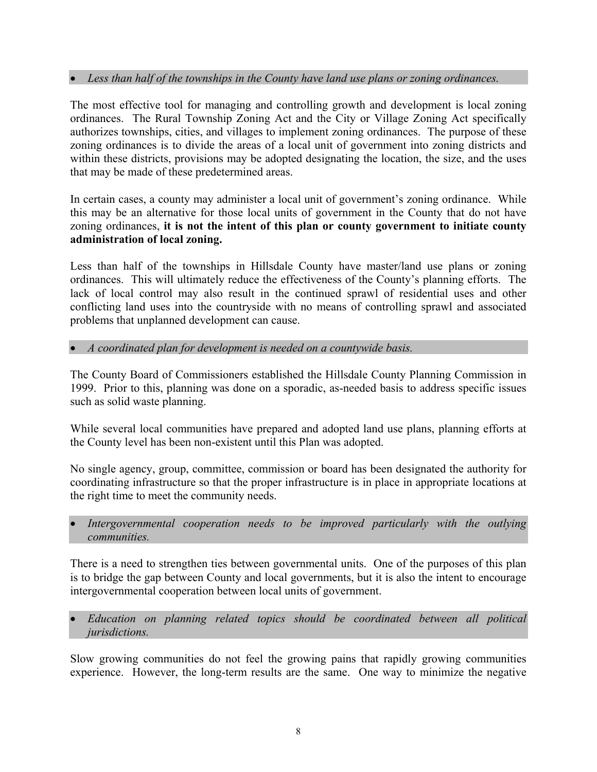## • *Less than half of the townships in the County have land use plans or zoning ordinances.*

The most effective tool for managing and controlling growth and development is local zoning ordinances. The Rural Township Zoning Act and the City or Village Zoning Act specifically authorizes townships, cities, and villages to implement zoning ordinances. The purpose of these zoning ordinances is to divide the areas of a local unit of government into zoning districts and within these districts, provisions may be adopted designating the location, the size, and the uses that may be made of these predetermined areas.

In certain cases, a county may administer a local unit of government's zoning ordinance. While this may be an alternative for those local units of government in the County that do not have zoning ordinances, **it is not the intent of this plan or county government to initiate county administration of local zoning.**

Less than half of the townships in Hillsdale County have master/land use plans or zoning ordinances. This will ultimately reduce the effectiveness of the County's planning efforts. The lack of local control may also result in the continued sprawl of residential uses and other conflicting land uses into the countryside with no means of controlling sprawl and associated problems that unplanned development can cause.

• *A coordinated plan for development is needed on a countywide basis.*

The County Board of Commissioners established the Hillsdale County Planning Commission in 1999. Prior to this, planning was done on a sporadic, as-needed basis to address specific issues such as solid waste planning.

While several local communities have prepared and adopted land use plans, planning efforts at the County level has been non-existent until this Plan was adopted.

No single agency, group, committee, commission or board has been designated the authority for coordinating infrastructure so that the proper infrastructure is in place in appropriate locations at the right time to meet the community needs.

• *Intergovernmental cooperation needs to be improved particularly with the outlying communities.*

There is a need to strengthen ties between governmental units. One of the purposes of this plan is to bridge the gap between County and local governments, but it is also the intent to encourage intergovernmental cooperation between local units of government.

• *Education on planning related topics should be coordinated between all political jurisdictions.*

Slow growing communities do not feel the growing pains that rapidly growing communities experience. However, the long-term results are the same. One way to minimize the negative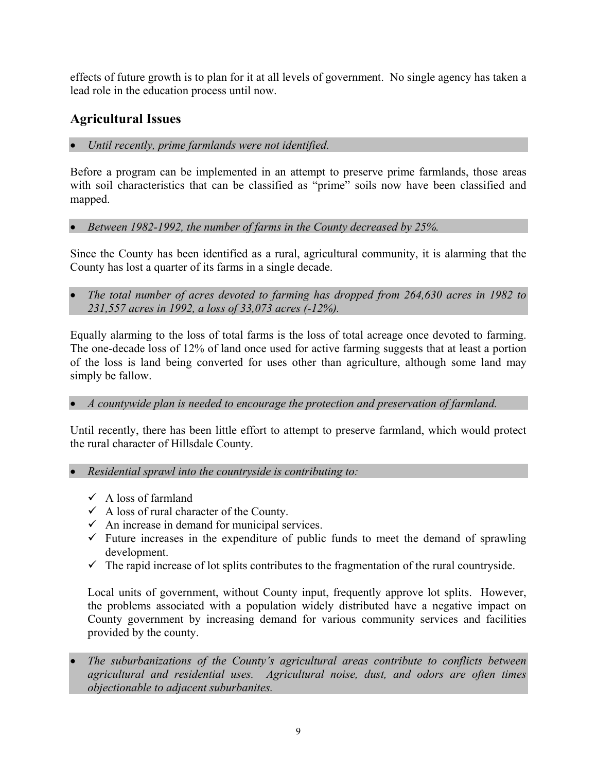effects of future growth is to plan for it at all levels of government. No single agency has taken a lead role in the education process until now.

# <span id="page-8-0"></span>**Agricultural Issues**

• *Until recently, prime farmlands were not identified.*

Before a program can be implemented in an attempt to preserve prime farmlands, those areas with soil characteristics that can be classified as "prime" soils now have been classified and mapped.

• *Between 1982-1992, the number of farms in the County decreased by 25%.*

Since the County has been identified as a rural, agricultural community, it is alarming that the County has lost a quarter of its farms in a single decade.

• *The total number of acres devoted to farming has dropped from 264,630 acres in 1982 to 231,557 acres in 1992, a loss of 33,073 acres (-12%).*

Equally alarming to the loss of total farms is the loss of total acreage once devoted to farming. The one-decade loss of 12% of land once used for active farming suggests that at least a portion of the loss is land being converted for uses other than agriculture, although some land may simply be fallow.

## • *A countywide plan is needed to encourage the protection and preservation of farmland.*

Until recently, there has been little effort to attempt to preserve farmland, which would protect the rural character of Hillsdale County.

- *Residential sprawl into the countryside is contributing to:* 
	- $\checkmark$  A loss of farmland
	- $\checkmark$  A loss of rural character of the County.
	- $\checkmark$  An increase in demand for municipal services.
	- $\checkmark$  Future increases in the expenditure of public funds to meet the demand of sprawling development.
	- $\checkmark$  The rapid increase of lot splits contributes to the fragmentation of the rural countryside.

Local units of government, without County input, frequently approve lot splits. However, the problems associated with a population widely distributed have a negative impact on County government by increasing demand for various community services and facilities provided by the county.

• *The suburbanizations of the County's agricultural areas contribute to conflicts between agricultural and residential uses. Agricultural noise, dust, and odors are often times objectionable to adjacent suburbanites.*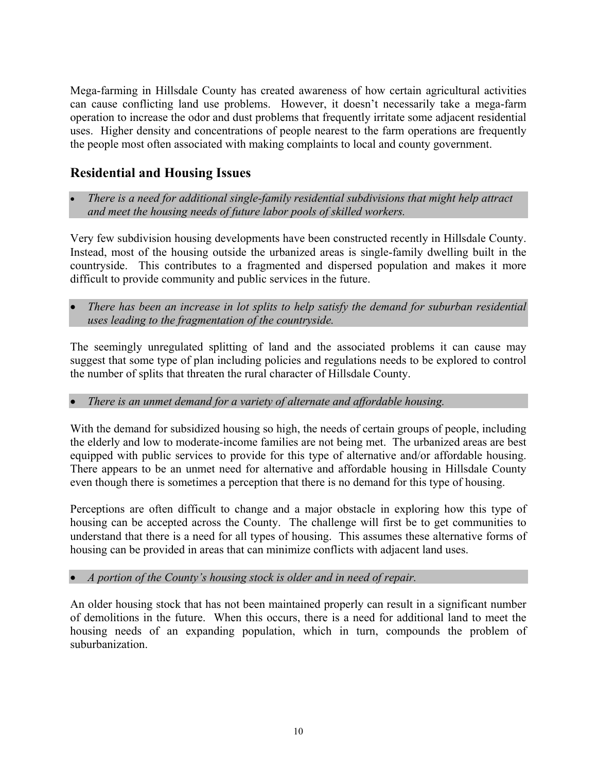Mega-farming in Hillsdale County has created awareness of how certain agricultural activities can cause conflicting land use problems. However, it doesn't necessarily take a mega-farm operation to increase the odor and dust problems that frequently irritate some adjacent residential uses. Higher density and concentrations of people nearest to the farm operations are frequently the people most often associated with making complaints to local and county government.

# <span id="page-9-0"></span>**Residential and Housing Issues**

• *There is a need for additional single-family residential subdivisions that might help attract and meet the housing needs of future labor pools of skilled workers.*

Very few subdivision housing developments have been constructed recently in Hillsdale County. Instead, most of the housing outside the urbanized areas is single-family dwelling built in the countryside. This contributes to a fragmented and dispersed population and makes it more difficult to provide community and public services in the future.

• *There has been an increase in lot splits to help satisfy the demand for suburban residential uses leading to the fragmentation of the countryside.*

The seemingly unregulated splitting of land and the associated problems it can cause may suggest that some type of plan including policies and regulations needs to be explored to control the number of splits that threaten the rural character of Hillsdale County.

## • *There is an unmet demand for a variety of alternate and affordable housing.*

With the demand for subsidized housing so high, the needs of certain groups of people, including the elderly and low to moderate-income families are not being met. The urbanized areas are best equipped with public services to provide for this type of alternative and/or affordable housing. There appears to be an unmet need for alternative and affordable housing in Hillsdale County even though there is sometimes a perception that there is no demand for this type of housing.

Perceptions are often difficult to change and a major obstacle in exploring how this type of housing can be accepted across the County. The challenge will first be to get communities to understand that there is a need for all types of housing. This assumes these alternative forms of housing can be provided in areas that can minimize conflicts with adjacent land uses.

## • *A portion of the County's housing stock is older and in need of repair.*

An older housing stock that has not been maintained properly can result in a significant number of demolitions in the future. When this occurs, there is a need for additional land to meet the housing needs of an expanding population, which in turn, compounds the problem of suburbanization.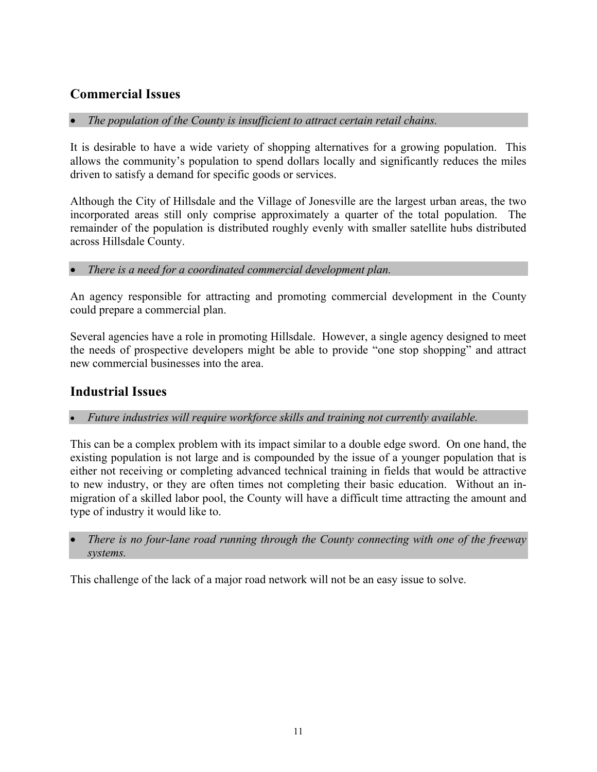# <span id="page-10-0"></span>**Commercial Issues**

## • *The population of the County is insufficient to attract certain retail chains.*

It is desirable to have a wide variety of shopping alternatives for a growing population. This allows the community's population to spend dollars locally and significantly reduces the miles driven to satisfy a demand for specific goods or services.

Although the City of Hillsdale and the Village of Jonesville are the largest urban areas, the two incorporated areas still only comprise approximately a quarter of the total population. The remainder of the population is distributed roughly evenly with smaller satellite hubs distributed across Hillsdale County.

## • *There is a need for a coordinated commercial development plan.*

An agency responsible for attracting and promoting commercial development in the County could prepare a commercial plan.

Several agencies have a role in promoting Hillsdale. However, a single agency designed to meet the needs of prospective developers might be able to provide "one stop shopping" and attract new commercial businesses into the area.

# <span id="page-10-1"></span>**Industrial Issues**

## • *Future industries will require workforce skills and training not currently available.*

This can be a complex problem with its impact similar to a double edge sword. On one hand, the existing population is not large and is compounded by the issue of a younger population that is either not receiving or completing advanced technical training in fields that would be attractive to new industry, or they are often times not completing their basic education. Without an inmigration of a skilled labor pool, the County will have a difficult time attracting the amount and type of industry it would like to.

• *There is no four-lane road running through the County connecting with one of the freeway systems.*

This challenge of the lack of a major road network will not be an easy issue to solve.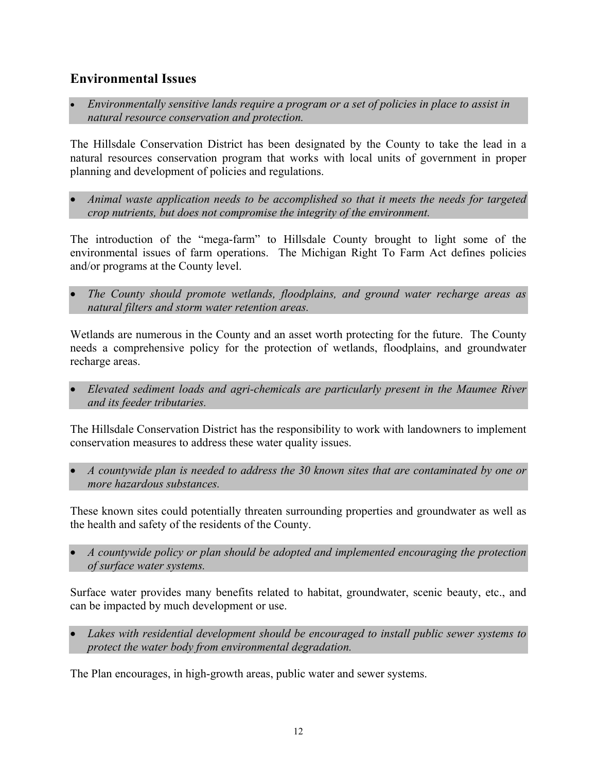# <span id="page-11-0"></span>**Environmental Issues**

• *Environmentally sensitive lands require a program or a set of policies in place to assist in natural resource conservation and protection.*

The Hillsdale Conservation District has been designated by the County to take the lead in a natural resources conservation program that works with local units of government in proper planning and development of policies and regulations.

• *Animal waste application needs to be accomplished so that it meets the needs for targeted crop nutrients, but does not compromise the integrity of the environment.*

The introduction of the "mega-farm" to Hillsdale County brought to light some of the environmental issues of farm operations. The Michigan Right To Farm Act defines policies and/or programs at the County level.

• *The County should promote wetlands, floodplains, and ground water recharge areas as natural filters and storm water retention areas.*

Wetlands are numerous in the County and an asset worth protecting for the future. The County needs a comprehensive policy for the protection of wetlands, floodplains, and groundwater recharge areas.

• *Elevated sediment loads and agri-chemicals are particularly present in the Maumee River and its feeder tributaries.*

The Hillsdale Conservation District has the responsibility to work with landowners to implement conservation measures to address these water quality issues.

• *A countywide plan is needed to address the 30 known sites that are contaminated by one or more hazardous substances.*

These known sites could potentially threaten surrounding properties and groundwater as well as the health and safety of the residents of the County.

• *A countywide policy or plan should be adopted and implemented encouraging the protection of surface water systems.*

Surface water provides many benefits related to habitat, groundwater, scenic beauty, etc., and can be impacted by much development or use.

• *Lakes with residential development should be encouraged to install public sewer systems to protect the water body from environmental degradation.*

The Plan encourages, in high-growth areas, public water and sewer systems.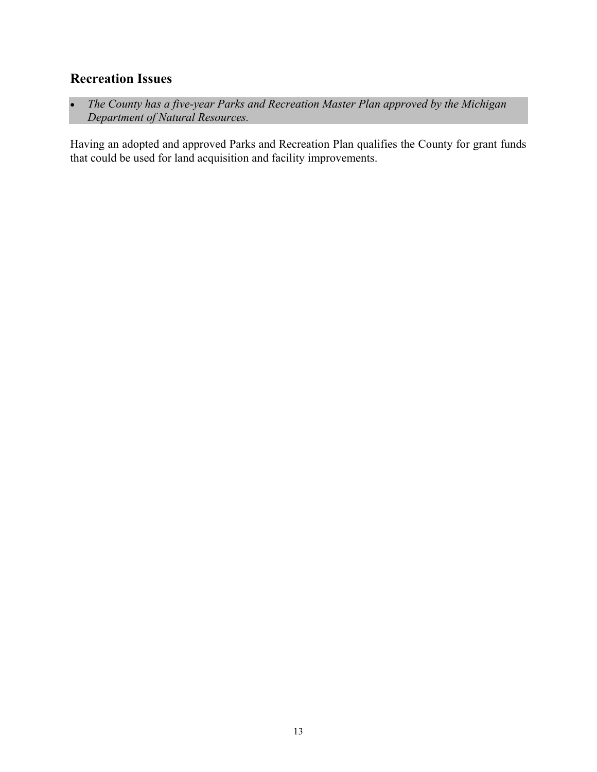# <span id="page-12-0"></span>**Recreation Issues**

• *The County has a five-year Parks and Recreation Master Plan approved by the Michigan Department of Natural Resources.*

Having an adopted and approved Parks and Recreation Plan qualifies the County for grant funds that could be used for land acquisition and facility improvements.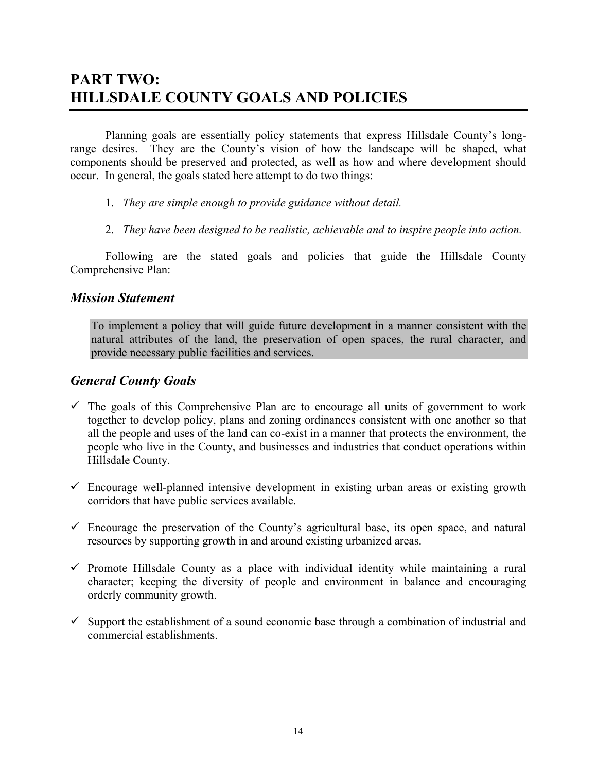# **PART TWO: HILLSDALE COUNTY GOALS AND POLICIES**

Planning goals are essentially policy statements that express Hillsdale County's longrange desires. They are the County's vision of how the landscape will be shaped, what components should be preserved and protected, as well as how and where development should occur. In general, the goals stated here attempt to do two things:

- 1. *They are simple enough to provide guidance without detail.*
- 2. *They have been designed to be realistic, achievable and to inspire people into action.*

Following are the stated goals and policies that guide the Hillsdale County Comprehensive Plan:

## *Mission Statement*

To implement a policy that will guide future development in a manner consistent with the natural attributes of the land, the preservation of open spaces, the rural character, and provide necessary public facilities and services.

## *General County Goals*

- $\checkmark$  The goals of this Comprehensive Plan are to encourage all units of government to work together to develop policy, plans and zoning ordinances consistent with one another so that all the people and uses of the land can co-exist in a manner that protects the environment, the people who live in the County, and businesses and industries that conduct operations within Hillsdale County.
- $\checkmark$  Encourage well-planned intensive development in existing urban areas or existing growth corridors that have public services available.
- $\checkmark$  Encourage the preservation of the County's agricultural base, its open space, and natural resources by supporting growth in and around existing urbanized areas.
- $\checkmark$  Promote Hillsdale County as a place with individual identity while maintaining a rural character; keeping the diversity of people and environment in balance and encouraging orderly community growth.
- $\checkmark$  Support the establishment of a sound economic base through a combination of industrial and commercial establishments.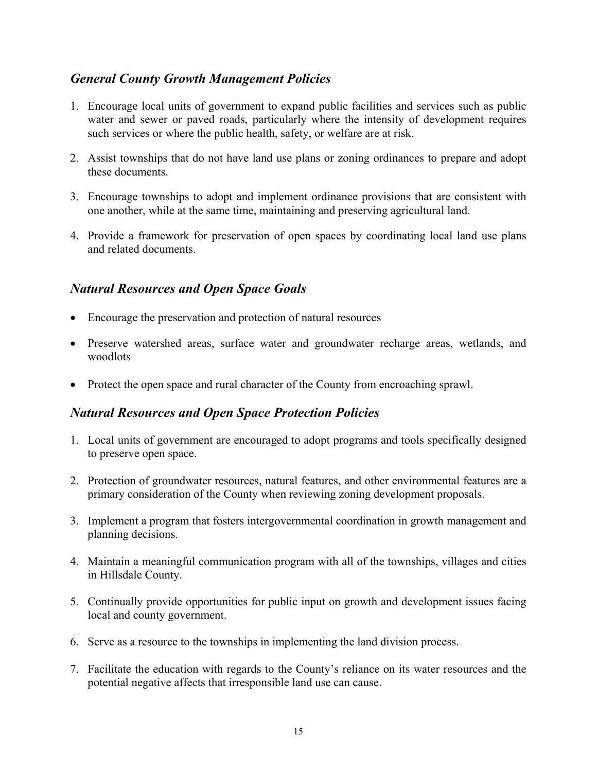# <span id="page-14-0"></span>*General County Growth Management Policies*

- 1. Encourage local units of government to expand public facilities and services such as public water and sewer or paved roads, particularly where the intensity of development requires such services or where the public health, safety, or welfare are at risk.
- 2. Assist townships that do not have land use plans or zoning ordinances to prepare and adopt these documents.
- 3. Encourage townships to adopt and implement ordinance provisions that are consistent with one another, while at the same time, maintaining and preserving agricultural land.
- 4. Provide a framework for preservation of open spaces by coordinating local land use plans and related documents.

# <span id="page-14-1"></span>*Natural Resources and Open Space Goals*

- Encourage the preservation and protection of natural resources
- Preserve watershed areas, surface water and groundwater recharge areas, wetlands, and woodlots
- Protect the open space and rural character of the County from encroaching sprawl.

# <span id="page-14-2"></span>*Natural Resources and Open Space Protection Policies*

- 1. Local units of government are encouraged to adopt programs and tools specifically designed to preserve open space.
- 2. Protection of groundwater resources, natural features, and other environmental features are a primary consideration of the County when reviewing zoning development proposals.
- 3. Implement a program that fosters intergovernmental coordination in growth management and planning decisions.
- 4. Maintain a meaningful communication program with all of the townships, villages and cities in Hillsdale County.
- 5. Continually provide opportunities for public input on growth and development issues facing local and county government.
- 6. Serve as a resource to the townships in implementing the land division process.
- 7. Facilitate the education with regards to the County's reliance on its water resources and the potential negative affects that irresponsible land use can cause.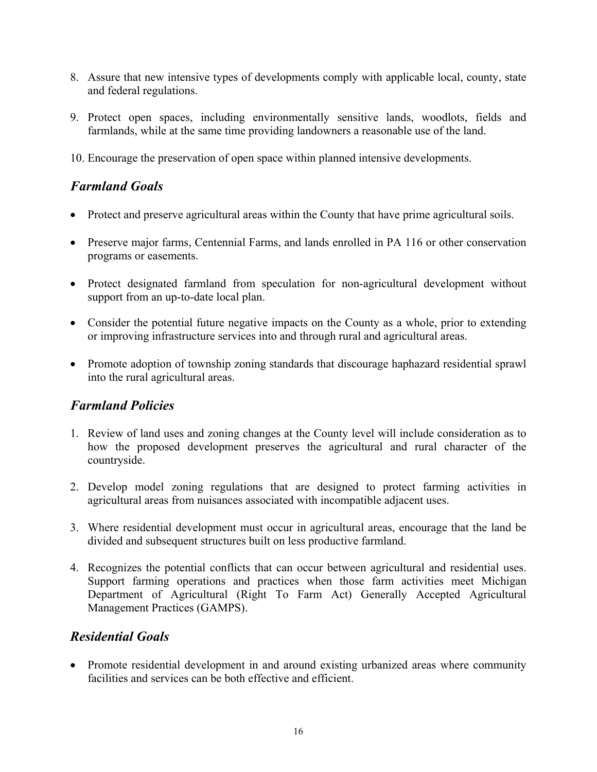- 8. Assure that new intensive types of developments comply with applicable local, county, state and federal regulations.
- 9. Protect open spaces, including environmentally sensitive lands, woodlots, fields and farmlands, while at the same time providing landowners a reasonable use of the land.

10. Encourage the preservation of open space within planned intensive developments.

# <span id="page-15-0"></span>*Farmland Goals*

- Protect and preserve agricultural areas within the County that have prime agricultural soils.
- Preserve major farms, Centennial Farms, and lands enrolled in PA 116 or other conservation programs or easements.
- Protect designated farmland from speculation for non-agricultural development without support from an up-to-date local plan.
- Consider the potential future negative impacts on the County as a whole, prior to extending or improving infrastructure services into and through rural and agricultural areas.
- Promote adoption of township zoning standards that discourage haphazard residential sprawl into the rural agricultural areas.

# <span id="page-15-1"></span>*Farmland Policies*

- 1. Review of land uses and zoning changes at the County level will include consideration as to how the proposed development preserves the agricultural and rural character of the countryside.
- 2. Develop model zoning regulations that are designed to protect farming activities in agricultural areas from nuisances associated with incompatible adjacent uses.
- 3. Where residential development must occur in agricultural areas, encourage that the land be divided and subsequent structures built on less productive farmland.
- 4. Recognizes the potential conflicts that can occur between agricultural and residential uses. Support farming operations and practices when those farm activities meet Michigan Department of Agricultural (Right To Farm Act) Generally Accepted Agricultural Management Practices (GAMPS).

# <span id="page-15-2"></span>*Residential Goals*

• Promote residential development in and around existing urbanized areas where community facilities and services can be both effective and efficient.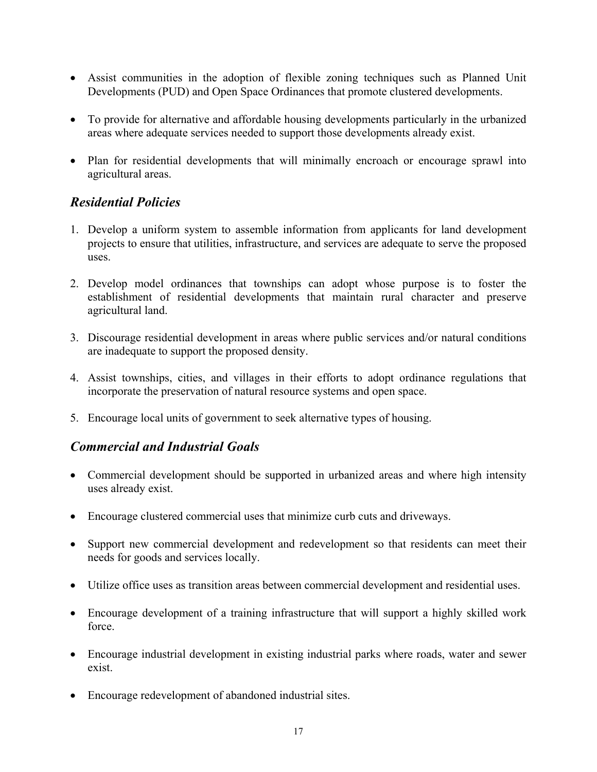- Assist communities in the adoption of flexible zoning techniques such as Planned Unit Developments (PUD) and Open Space Ordinances that promote clustered developments.
- To provide for alternative and affordable housing developments particularly in the urbanized areas where adequate services needed to support those developments already exist.
- Plan for residential developments that will minimally encroach or encourage sprawl into agricultural areas.

# <span id="page-16-0"></span>*Residential Policies*

- 1. Develop a uniform system to assemble information from applicants for land development projects to ensure that utilities, infrastructure, and services are adequate to serve the proposed uses.
- 2. Develop model ordinances that townships can adopt whose purpose is to foster the establishment of residential developments that maintain rural character and preserve agricultural land.
- 3. Discourage residential development in areas where public services and/or natural conditions are inadequate to support the proposed density.
- 4. Assist townships, cities, and villages in their efforts to adopt ordinance regulations that incorporate the preservation of natural resource systems and open space.
- 5. Encourage local units of government to seek alternative types of housing.

# <span id="page-16-1"></span>*Commercial and Industrial Goals*

- Commercial development should be supported in urbanized areas and where high intensity uses already exist.
- Encourage clustered commercial uses that minimize curb cuts and driveways.
- Support new commercial development and redevelopment so that residents can meet their needs for goods and services locally.
- Utilize office uses as transition areas between commercial development and residential uses.
- Encourage development of a training infrastructure that will support a highly skilled work force.
- Encourage industrial development in existing industrial parks where roads, water and sewer exist.
- Encourage redevelopment of abandoned industrial sites.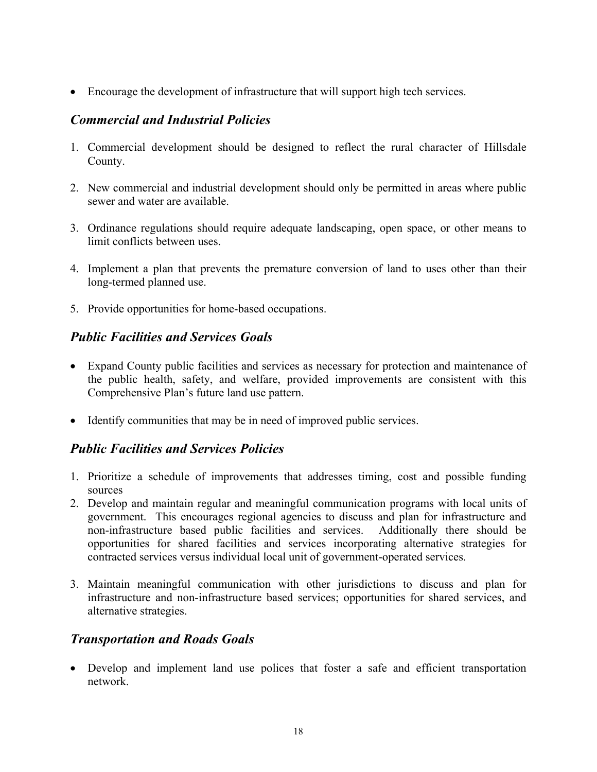• Encourage the development of infrastructure that will support high tech services.

# <span id="page-17-0"></span>*Commercial and Industrial Policies*

- 1. Commercial development should be designed to reflect the rural character of Hillsdale County.
- 2. New commercial and industrial development should only be permitted in areas where public sewer and water are available.
- 3. Ordinance regulations should require adequate landscaping, open space, or other means to limit conflicts between uses.
- 4. Implement a plan that prevents the premature conversion of land to uses other than their long-termed planned use.
- 5. Provide opportunities for home-based occupations.

# <span id="page-17-1"></span>*Public Facilities and Services Goals*

- Expand County public facilities and services as necessary for protection and maintenance of the public health, safety, and welfare, provided improvements are consistent with this Comprehensive Plan's future land use pattern.
- Identify communities that may be in need of improved public services.

# <span id="page-17-2"></span>*Public Facilities and Services Policies*

- 1. Prioritize a schedule of improvements that addresses timing, cost and possible funding sources
- 2. Develop and maintain regular and meaningful communication programs with local units of government. This encourages regional agencies to discuss and plan for infrastructure and non-infrastructure based public facilities and services. Additionally there should be opportunities for shared facilities and services incorporating alternative strategies for contracted services versus individual local unit of government-operated services.
- 3. Maintain meaningful communication with other jurisdictions to discuss and plan for infrastructure and non-infrastructure based services; opportunities for shared services, and alternative strategies.

# <span id="page-17-3"></span>*Transportation and Roads Goals*

• Develop and implement land use polices that foster a safe and efficient transportation network.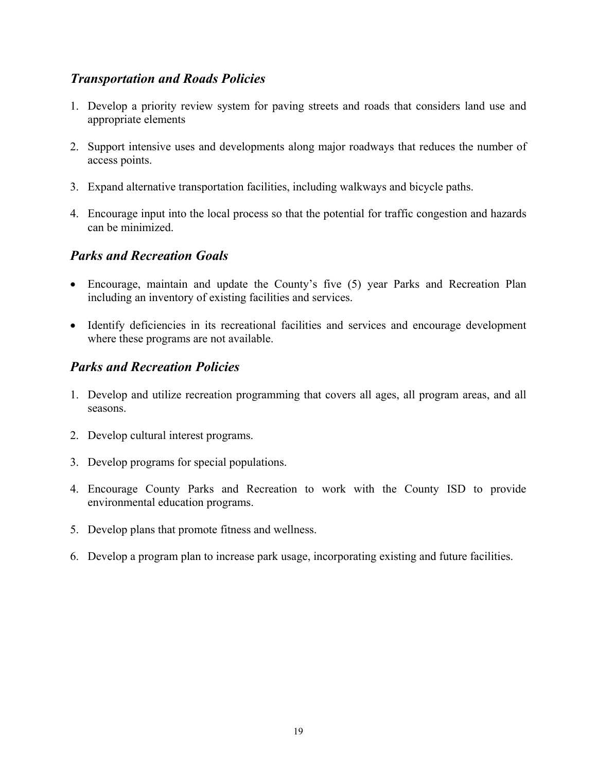# <span id="page-18-0"></span>*Transportation and Roads Policies*

- 1. Develop a priority review system for paving streets and roads that considers land use and appropriate elements
- 2. Support intensive uses and developments along major roadways that reduces the number of access points.
- 3. Expand alternative transportation facilities, including walkways and bicycle paths.
- 4. Encourage input into the local process so that the potential for traffic congestion and hazards can be minimized.

# <span id="page-18-1"></span>*Parks and Recreation Goals*

- Encourage, maintain and update the County's five (5) year Parks and Recreation Plan including an inventory of existing facilities and services.
- Identify deficiencies in its recreational facilities and services and encourage development where these programs are not available.

# <span id="page-18-2"></span>*Parks and Recreation Policies*

- 1. Develop and utilize recreation programming that covers all ages, all program areas, and all seasons.
- 2. Develop cultural interest programs.
- 3. Develop programs for special populations.
- 4. Encourage County Parks and Recreation to work with the County ISD to provide environmental education programs.
- 5. Develop plans that promote fitness and wellness.
- 6. Develop a program plan to increase park usage, incorporating existing and future facilities.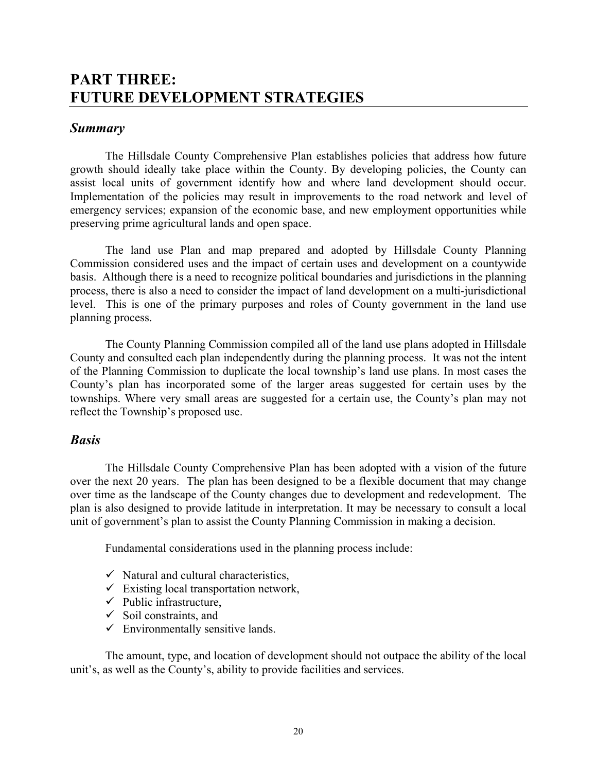# <span id="page-19-1"></span><span id="page-19-0"></span>**PART THREE: FUTURE DEVELOPMENT STRATEGIES**

## <span id="page-19-2"></span>*Summary*

The Hillsdale County Comprehensive Plan establishes policies that address how future growth should ideally take place within the County. By developing policies, the County can assist local units of government identify how and where land development should occur. Implementation of the policies may result in improvements to the road network and level of emergency services; expansion of the economic base, and new employment opportunities while preserving prime agricultural lands and open space.

The land use Plan and map prepared and adopted by Hillsdale County Planning Commission considered uses and the impact of certain uses and development on a countywide basis. Although there is a need to recognize political boundaries and jurisdictions in the planning process, there is also a need to consider the impact of land development on a multi-jurisdictional level. This is one of the primary purposes and roles of County government in the land use planning process.

The County Planning Commission compiled all of the land use plans adopted in Hillsdale County and consulted each plan independently during the planning process. It was not the intent of the Planning Commission to duplicate the local township's land use plans. In most cases the County's plan has incorporated some of the larger areas suggested for certain uses by the townships. Where very small areas are suggested for a certain use, the County's plan may not reflect the Township's proposed use.

## <span id="page-19-3"></span>*Basis*

The Hillsdale County Comprehensive Plan has been adopted with a vision of the future over the next 20 years. The plan has been designed to be a flexible document that may change over time as the landscape of the County changes due to development and redevelopment. The plan is also designed to provide latitude in interpretation. It may be necessary to consult a local unit of government's plan to assist the County Planning Commission in making a decision.

Fundamental considerations used in the planning process include:

- $\checkmark$  Natural and cultural characteristics,
- $\checkmark$  Existing local transportation network,
- $\checkmark$  Public infrastructure,
- $\checkmark$  Soil constraints, and
- $\checkmark$  Environmentally sensitive lands.

The amount, type, and location of development should not outpace the ability of the local unit's, as well as the County's, ability to provide facilities and services.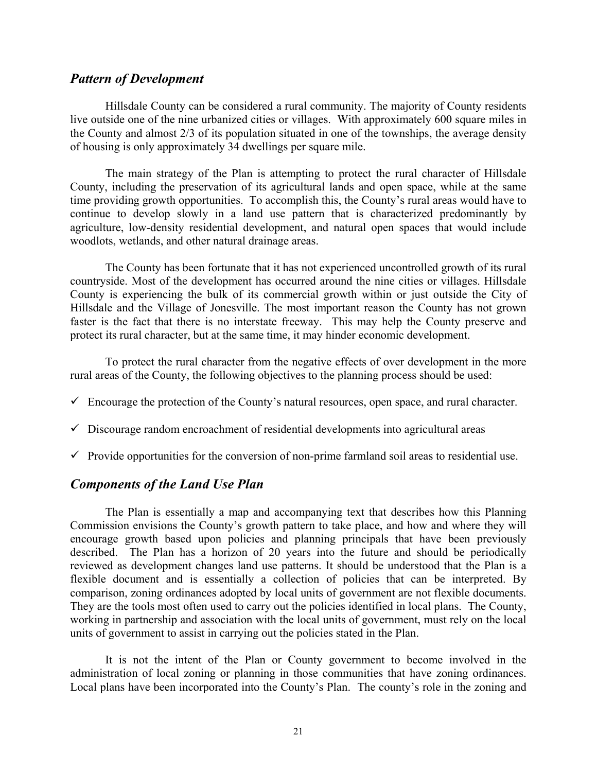### <span id="page-20-0"></span>*Pattern of Development*

Hillsdale County can be considered a rural community. The majority of County residents live outside one of the nine urbanized cities or villages. With approximately 600 square miles in the County and almost 2/3 of its population situated in one of the townships, the average density of housing is only approximately 34 dwellings per square mile.

The main strategy of the Plan is attempting to protect the rural character of Hillsdale County, including the preservation of its agricultural lands and open space, while at the same time providing growth opportunities. To accomplish this, the County's rural areas would have to continue to develop slowly in a land use pattern that is characterized predominantly by agriculture, low-density residential development, and natural open spaces that would include woodlots, wetlands, and other natural drainage areas.

The County has been fortunate that it has not experienced uncontrolled growth of its rural countryside. Most of the development has occurred around the nine cities or villages. Hillsdale County is experiencing the bulk of its commercial growth within or just outside the City of Hillsdale and the Village of Jonesville. The most important reason the County has not grown faster is the fact that there is no interstate freeway. This may help the County preserve and protect its rural character, but at the same time, it may hinder economic development.

To protect the rural character from the negative effects of over development in the more rural areas of the County, the following objectives to the planning process should be used:

- $\checkmark$  Encourage the protection of the County's natural resources, open space, and rural character.
- $\checkmark$  Discourage random encroachment of residential developments into agricultural areas
- $\checkmark$  Provide opportunities for the conversion of non-prime farmland soil areas to residential use.

## <span id="page-20-1"></span>*Components of the Land Use Plan*

The Plan is essentially a map and accompanying text that describes how this Planning Commission envisions the County's growth pattern to take place, and how and where they will encourage growth based upon policies and planning principals that have been previously described. The Plan has a horizon of 20 years into the future and should be periodically reviewed as development changes land use patterns. It should be understood that the Plan is a flexible document and is essentially a collection of policies that can be interpreted. By comparison, zoning ordinances adopted by local units of government are not flexible documents. They are the tools most often used to carry out the policies identified in local plans. The County, working in partnership and association with the local units of government, must rely on the local units of government to assist in carrying out the policies stated in the Plan.

It is not the intent of the Plan or County government to become involved in the administration of local zoning or planning in those communities that have zoning ordinances. Local plans have been incorporated into the County's Plan. The county's role in the zoning and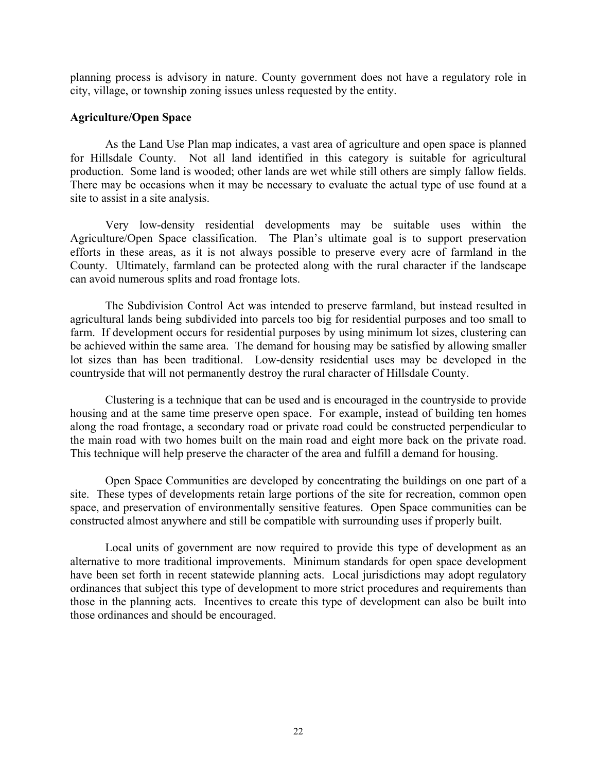planning process is advisory in nature. County government does not have a regulatory role in city, village, or township zoning issues unless requested by the entity.

### <span id="page-21-0"></span>**Agriculture/Open Space**

As the Land Use Plan map indicates, a vast area of agriculture and open space is planned for Hillsdale County. Not all land identified in this category is suitable for agricultural production. Some land is wooded; other lands are wet while still others are simply fallow fields. There may be occasions when it may be necessary to evaluate the actual type of use found at a site to assist in a site analysis.

Very low-density residential developments may be suitable uses within the Agriculture/Open Space classification. The Plan's ultimate goal is to support preservation efforts in these areas, as it is not always possible to preserve every acre of farmland in the County. Ultimately, farmland can be protected along with the rural character if the landscape can avoid numerous splits and road frontage lots.

The Subdivision Control Act was intended to preserve farmland, but instead resulted in agricultural lands being subdivided into parcels too big for residential purposes and too small to farm. If development occurs for residential purposes by using minimum lot sizes, clustering can be achieved within the same area. The demand for housing may be satisfied by allowing smaller lot sizes than has been traditional. Low-density residential uses may be developed in the countryside that will not permanently destroy the rural character of Hillsdale County.

Clustering is a technique that can be used and is encouraged in the countryside to provide housing and at the same time preserve open space. For example, instead of building ten homes along the road frontage, a secondary road or private road could be constructed perpendicular to the main road with two homes built on the main road and eight more back on the private road. This technique will help preserve the character of the area and fulfill a demand for housing.

Open Space Communities are developed by concentrating the buildings on one part of a site. These types of developments retain large portions of the site for recreation, common open space, and preservation of environmentally sensitive features. Open Space communities can be constructed almost anywhere and still be compatible with surrounding uses if properly built.

Local units of government are now required to provide this type of development as an alternative to more traditional improvements. Minimum standards for open space development have been set forth in recent statewide planning acts. Local jurisdictions may adopt regulatory ordinances that subject this type of development to more strict procedures and requirements than those in the planning acts. Incentives to create this type of development can also be built into those ordinances and should be encouraged.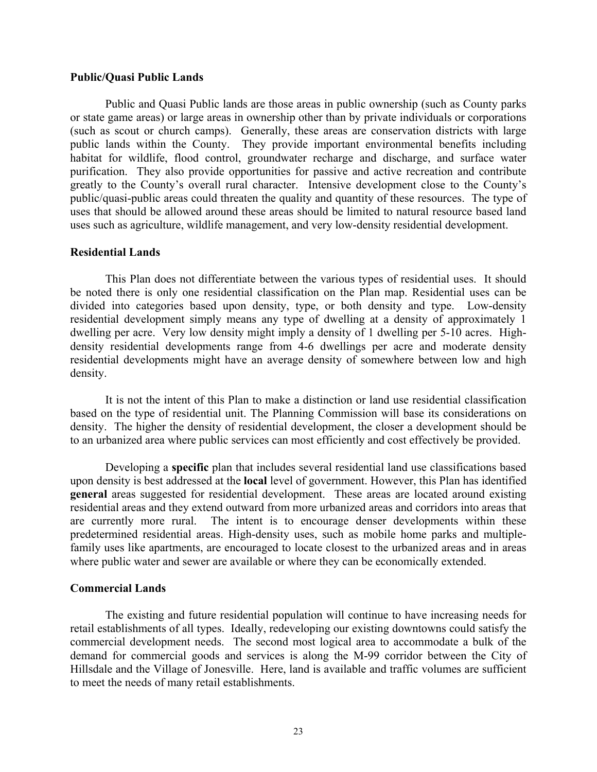### **Public/Quasi Public Lands**

Public and Quasi Public lands are those areas in public ownership (such as County parks or state game areas) or large areas in ownership other than by private individuals or corporations (such as scout or church camps). Generally, these areas are conservation districts with large public lands within the County. They provide important environmental benefits including habitat for wildlife, flood control, groundwater recharge and discharge, and surface water purification. They also provide opportunities for passive and active recreation and contribute greatly to the County's overall rural character. Intensive development close to the County's public/quasi-public areas could threaten the quality and quantity of these resources. The type of uses that should be allowed around these areas should be limited to natural resource based land uses such as agriculture, wildlife management, and very low-density residential development.

### <span id="page-22-0"></span>**Residential Lands**

This Plan does not differentiate between the various types of residential uses. It should be noted there is only one residential classification on the Plan map. Residential uses can be divided into categories based upon density, type, or both density and type. Low-density residential development simply means any type of dwelling at a density of approximately 1 dwelling per acre. Very low density might imply a density of 1 dwelling per 5-10 acres. Highdensity residential developments range from 4-6 dwellings per acre and moderate density residential developments might have an average density of somewhere between low and high density.

It is not the intent of this Plan to make a distinction or land use residential classification based on the type of residential unit. The Planning Commission will base its considerations on density. The higher the density of residential development, the closer a development should be to an urbanized area where public services can most efficiently and cost effectively be provided.

Developing a **specific** plan that includes several residential land use classifications based upon density is best addressed at the **local** level of government. However, this Plan has identified **general** areas suggested for residential development. These areas are located around existing residential areas and they extend outward from more urbanized areas and corridors into areas that are currently more rural. The intent is to encourage denser developments within these predetermined residential areas. High-density uses, such as mobile home parks and multiplefamily uses like apartments, are encouraged to locate closest to the urbanized areas and in areas where public water and sewer are available or where they can be economically extended.

### <span id="page-22-1"></span>**Commercial Lands**

The existing and future residential population will continue to have increasing needs for retail establishments of all types. Ideally, redeveloping our existing downtowns could satisfy the commercial development needs. The second most logical area to accommodate a bulk of the demand for commercial goods and services is along the M-99 corridor between the City of Hillsdale and the Village of Jonesville. Here, land is available and traffic volumes are sufficient to meet the needs of many retail establishments.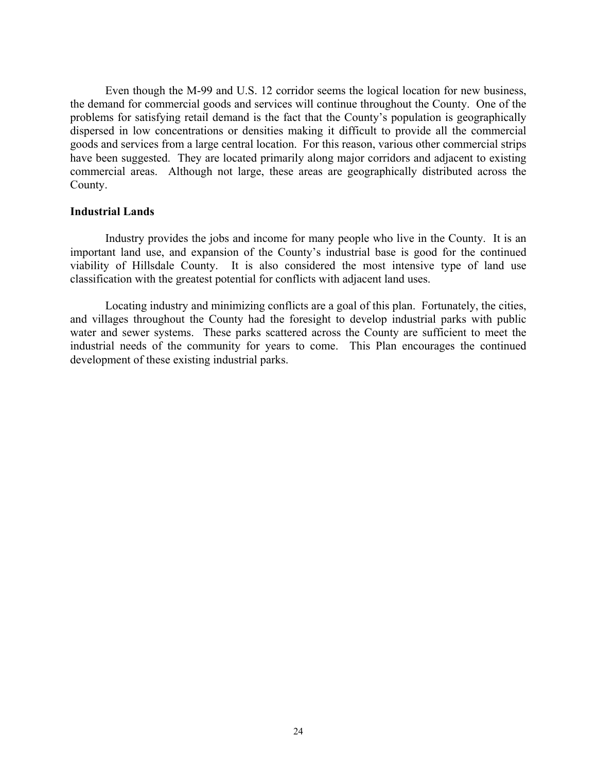Even though the M-99 and U.S. 12 corridor seems the logical location for new business, the demand for commercial goods and services will continue throughout the County. One of the problems for satisfying retail demand is the fact that the County's population is geographically dispersed in low concentrations or densities making it difficult to provide all the commercial goods and services from a large central location. For this reason, various other commercial strips have been suggested. They are located primarily along major corridors and adjacent to existing commercial areas. Although not large, these areas are geographically distributed across the County.

### <span id="page-23-0"></span>**Industrial Lands**

Industry provides the jobs and income for many people who live in the County. It is an important land use, and expansion of the County's industrial base is good for the continued viability of Hillsdale County. It is also considered the most intensive type of land use classification with the greatest potential for conflicts with adjacent land uses.

Locating industry and minimizing conflicts are a goal of this plan. Fortunately, the cities, and villages throughout the County had the foresight to develop industrial parks with public water and sewer systems. These parks scattered across the County are sufficient to meet the industrial needs of the community for years to come. This Plan encourages the continued development of these existing industrial parks.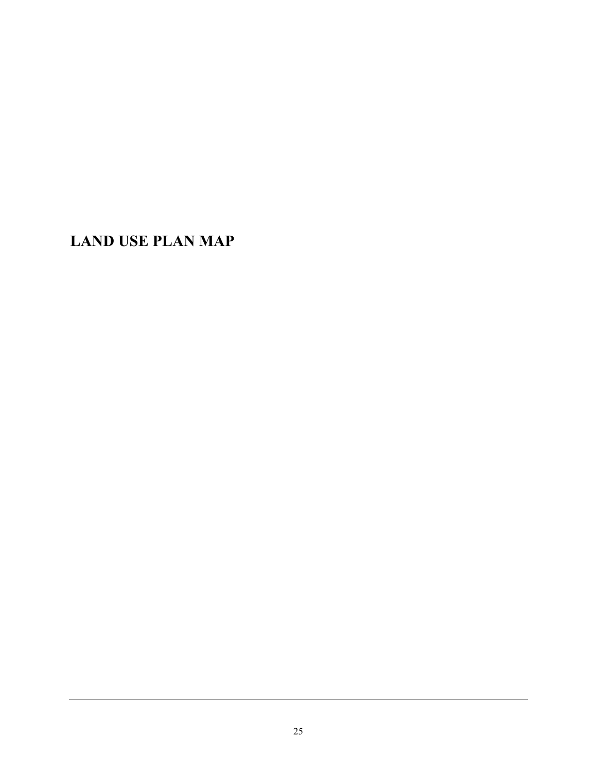<span id="page-24-0"></span>**LAND USE PLAN MAP**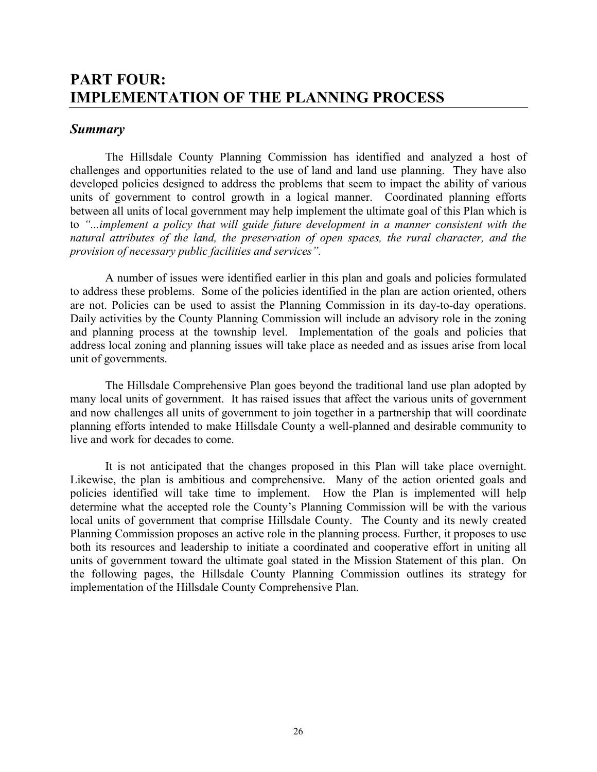# <span id="page-25-1"></span><span id="page-25-0"></span>**PART FOUR: IMPLEMENTATION OF THE PLANNING PROCESS**

## <span id="page-25-2"></span>*Summary*

The Hillsdale County Planning Commission has identified and analyzed a host of challenges and opportunities related to the use of land and land use planning. They have also developed policies designed to address the problems that seem to impact the ability of various units of government to control growth in a logical manner. Coordinated planning efforts between all units of local government may help implement the ultimate goal of this Plan which is to *"...implement a policy that will guide future development in a manner consistent with the natural attributes of the land, the preservation of open spaces, the rural character, and the provision of necessary public facilities and services".*

A number of issues were identified earlier in this plan and goals and policies formulated to address these problems. Some of the policies identified in the plan are action oriented, others are not. Policies can be used to assist the Planning Commission in its day-to-day operations. Daily activities by the County Planning Commission will include an advisory role in the zoning and planning process at the township level. Implementation of the goals and policies that address local zoning and planning issues will take place as needed and as issues arise from local unit of governments.

The Hillsdale Comprehensive Plan goes beyond the traditional land use plan adopted by many local units of government. It has raised issues that affect the various units of government and now challenges all units of government to join together in a partnership that will coordinate planning efforts intended to make Hillsdale County a well-planned and desirable community to live and work for decades to come.

It is not anticipated that the changes proposed in this Plan will take place overnight. Likewise, the plan is ambitious and comprehensive. Many of the action oriented goals and policies identified will take time to implement. How the Plan is implemented will help determine what the accepted role the County's Planning Commission will be with the various local units of government that comprise Hillsdale County. The County and its newly created Planning Commission proposes an active role in the planning process. Further, it proposes to use both its resources and leadership to initiate a coordinated and cooperative effort in uniting all units of government toward the ultimate goal stated in the Mission Statement of this plan. On the following pages, the Hillsdale County Planning Commission outlines its strategy for implementation of the Hillsdale County Comprehensive Plan.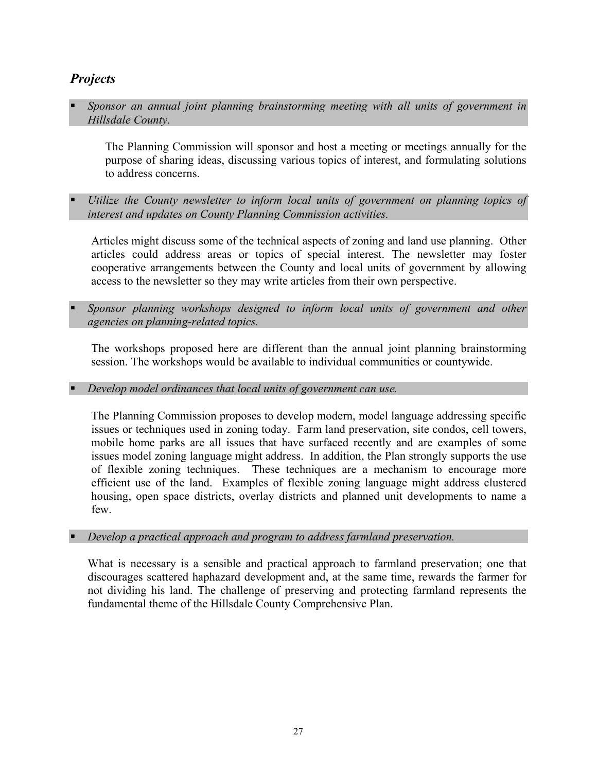# <span id="page-26-0"></span>*Projects*

 *Sponsor an annual joint planning brainstorming meeting with all units of government in Hillsdale County.*

The Planning Commission will sponsor and host a meeting or meetings annually for the purpose of sharing ideas, discussing various topics of interest, and formulating solutions to address concerns.

 *Utilize the County newsletter to inform local units of government on planning topics of interest and updates on County Planning Commission activities.*

Articles might discuss some of the technical aspects of zoning and land use planning. Other articles could address areas or topics of special interest. The newsletter may foster cooperative arrangements between the County and local units of government by allowing access to the newsletter so they may write articles from their own perspective.

 *Sponsor planning workshops designed to inform local units of government and other agencies on planning-related topics.*

The workshops proposed here are different than the annual joint planning brainstorming session. The workshops would be available to individual communities or countywide.

*Develop model ordinances that local units of government can use.* 

The Planning Commission proposes to develop modern, model language addressing specific issues or techniques used in zoning today. Farm land preservation, site condos, cell towers, mobile home parks are all issues that have surfaced recently and are examples of some issues model zoning language might address. In addition, the Plan strongly supports the use of flexible zoning techniques. These techniques are a mechanism to encourage more efficient use of the land. Examples of flexible zoning language might address clustered housing, open space districts, overlay districts and planned unit developments to name a few.

*Develop a practical approach and program to address farmland preservation.*

What is necessary is a sensible and practical approach to farmland preservation; one that discourages scattered haphazard development and, at the same time, rewards the farmer for not dividing his land. The challenge of preserving and protecting farmland represents the fundamental theme of the Hillsdale County Comprehensive Plan.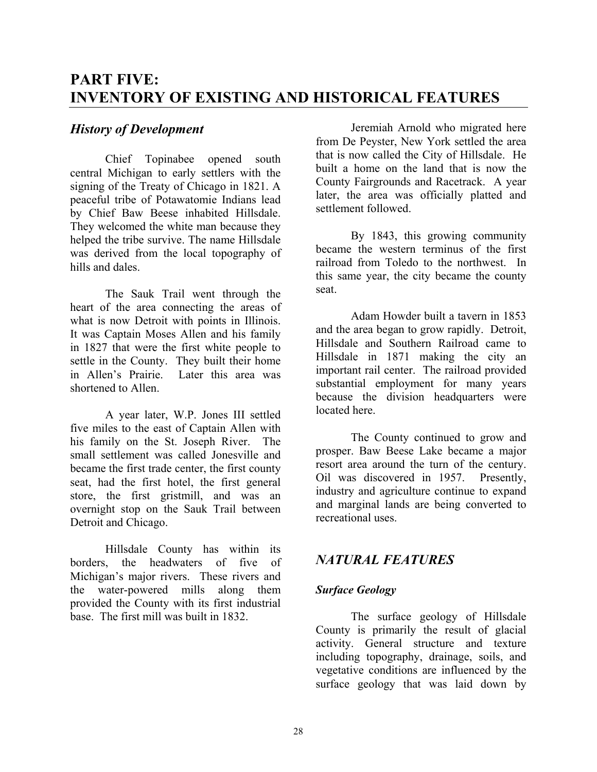# <span id="page-27-1"></span><span id="page-27-0"></span>**PART FIVE: INVENTORY OF EXISTING AND HISTORICAL FEATURES**

## <span id="page-27-2"></span>*History of Development*

Chief Topinabee opened south central Michigan to early settlers with the signing of the Treaty of Chicago in 1821. A peaceful tribe of Potawatomie Indians lead by Chief Baw Beese inhabited Hillsdale. They welcomed the white man because they helped the tribe survive. The name Hillsdale was derived from the local topography of hills and dales.

The Sauk Trail went through the heart of the area connecting the areas of what is now Detroit with points in Illinois. It was Captain Moses Allen and his family in 1827 that were the first white people to settle in the County. They built their home in Allen's Prairie. Later this area was shortened to Allen.

A year later, W.P. Jones III settled five miles to the east of Captain Allen with his family on the St. Joseph River. The small settlement was called Jonesville and became the first trade center, the first county seat, had the first hotel, the first general store, the first gristmill, and was an overnight stop on the Sauk Trail between Detroit and Chicago.

Hillsdale County has within its borders, the headwaters of five of Michigan's major rivers. These rivers and the water-powered mills along them provided the County with its first industrial base. The first mill was built in 1832.

Jeremiah Arnold who migrated here from De Peyster, New York settled the area that is now called the City of Hillsdale. He built a home on the land that is now the County Fairgrounds and Racetrack. A year later, the area was officially platted and settlement followed.

By 1843, this growing community became the western terminus of the first railroad from Toledo to the northwest. In this same year, the city became the county seat.

Adam Howder built a tavern in 1853 and the area began to grow rapidly. Detroit, Hillsdale and Southern Railroad came to Hillsdale in 1871 making the city an important rail center. The railroad provided substantial employment for many years because the division headquarters were located here.

The County continued to grow and prosper. Baw Beese Lake became a major resort area around the turn of the century. Oil was discovered in 1957. Presently, industry and agriculture continue to expand and marginal lands are being converted to recreational uses.

# <span id="page-27-3"></span>*NATURAL FEATURES*

### <span id="page-27-4"></span>*Surface Geology*

The surface geology of Hillsdale County is primarily the result of glacial activity. General structure and texture including topography, drainage, soils, and vegetative conditions are influenced by the surface geology that was laid down by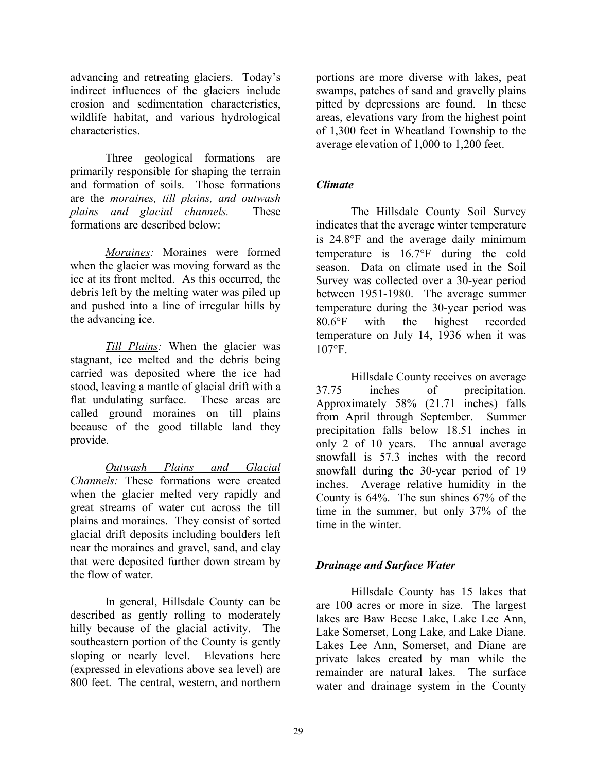advancing and retreating glaciers. Today's indirect influences of the glaciers include erosion and sedimentation characteristics, wildlife habitat, and various hydrological characteristics.

Three geological formations are primarily responsible for shaping the terrain and formation of soils. Those formations are the *moraines, till plains, and outwash plains and glacial channels.* These formations are described below:

*Moraines:* Moraines were formed when the glacier was moving forward as the ice at its front melted. As this occurred, the debris left by the melting water was piled up and pushed into a line of irregular hills by the advancing ice.

*Till Plains:* When the glacier was stagnant, ice melted and the debris being carried was deposited where the ice had stood, leaving a mantle of glacial drift with a flat undulating surface. These areas are called ground moraines on till plains because of the good tillable land they provide.

*Outwash Plains and Glacial Channels:* These formations were created when the glacier melted very rapidly and great streams of water cut across the till plains and moraines. They consist of sorted glacial drift deposits including boulders left near the moraines and gravel, sand, and clay that were deposited further down stream by the flow of water.

In general, Hillsdale County can be described as gently rolling to moderately hilly because of the glacial activity. The southeastern portion of the County is gently sloping or nearly level. Elevations here (expressed in elevations above sea level) are 800 feet. The central, western, and northern

portions are more diverse with lakes, peat swamps, patches of sand and gravelly plains pitted by depressions are found. In these areas, elevations vary from the highest point of 1,300 feet in Wheatland Township to the average elevation of 1,000 to 1,200 feet.

## *Climate*

The Hillsdale County Soil Survey indicates that the average winter temperature is 24.8°F and the average daily minimum temperature is 16.7°F during the cold season. Data on climate used in the Soil Survey was collected over a 30-year period between 1951-1980. The average summer temperature during the 30-year period was 80.6°F with the highest recorded temperature on July 14, 1936 when it was 107°F.

Hillsdale County receives on average 37.75 inches of precipitation. Approximately 58% (21.71 inches) falls from April through September. Summer precipitation falls below 18.51 inches in only 2 of 10 years. The annual average snowfall is 57.3 inches with the record snowfall during the 30-year period of 19 inches. Average relative humidity in the County is 64%. The sun shines 67% of the time in the summer, but only 37% of the time in the winter.

## *Drainage and Surface Water*

Hillsdale County has 15 lakes that are 100 acres or more in size. The largest lakes are Baw Beese Lake, Lake Lee Ann, Lake Somerset, Long Lake, and Lake Diane. Lakes Lee Ann, Somerset, and Diane are private lakes created by man while the remainder are natural lakes. The surface water and drainage system in the County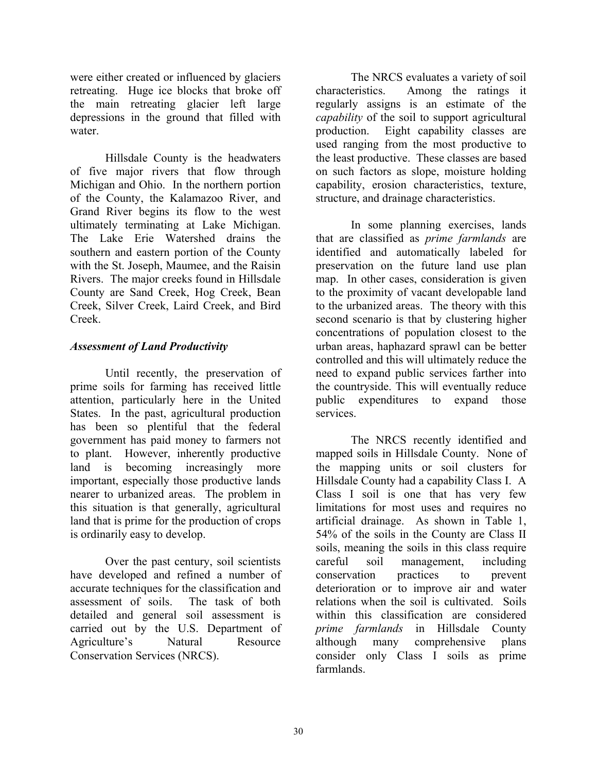were either created or influenced by glaciers retreating. Huge ice blocks that broke off the main retreating glacier left large depressions in the ground that filled with water.

Hillsdale County is the headwaters of five major rivers that flow through Michigan and Ohio. In the northern portion of the County, the Kalamazoo River, and Grand River begins its flow to the west ultimately terminating at Lake Michigan. The Lake Erie Watershed drains the southern and eastern portion of the County with the St. Joseph, Maumee, and the Raisin Rivers. The major creeks found in Hillsdale County are Sand Creek, Hog Creek, Bean Creek, Silver Creek, Laird Creek, and Bird Creek.

## *Assessment of Land Productivity*

Until recently, the preservation of prime soils for farming has received little attention, particularly here in the United States. In the past, agricultural production has been so plentiful that the federal government has paid money to farmers not to plant. However, inherently productive land is becoming increasingly more important, especially those productive lands nearer to urbanized areas. The problem in this situation is that generally, agricultural land that is prime for the production of crops is ordinarily easy to develop.

Over the past century, soil scientists have developed and refined a number of accurate techniques for the classification and assessment of soils. The task of both detailed and general soil assessment is carried out by the U.S. Department of Agriculture's Natural Resource Conservation Services (NRCS).

The NRCS evaluates a variety of soil characteristics. Among the ratings it regularly assigns is an estimate of the *capability* of the soil to support agricultural production. Eight capability classes are used ranging from the most productive to the least productive. These classes are based on such factors as slope, moisture holding capability, erosion characteristics, texture, structure, and drainage characteristics.

In some planning exercises, lands that are classified as *prime farmlands* are identified and automatically labeled for preservation on the future land use plan map. In other cases, consideration is given to the proximity of vacant developable land to the urbanized areas. The theory with this second scenario is that by clustering higher concentrations of population closest to the urban areas, haphazard sprawl can be better controlled and this will ultimately reduce the need to expand public services farther into the countryside. This will eventually reduce public expenditures to expand those services.

The NRCS recently identified and mapped soils in Hillsdale County. None of the mapping units or soil clusters for Hillsdale County had a capability Class I. A Class I soil is one that has very few limitations for most uses and requires no artificial drainage. As shown in Table 1, 54% of the soils in the County are Class II soils, meaning the soils in this class require careful soil management, including conservation practices to prevent deterioration or to improve air and water relations when the soil is cultivated. Soils within this classification are considered *prime farmlands* in Hillsdale County although many comprehensive plans consider only Class I soils as prime farmlands.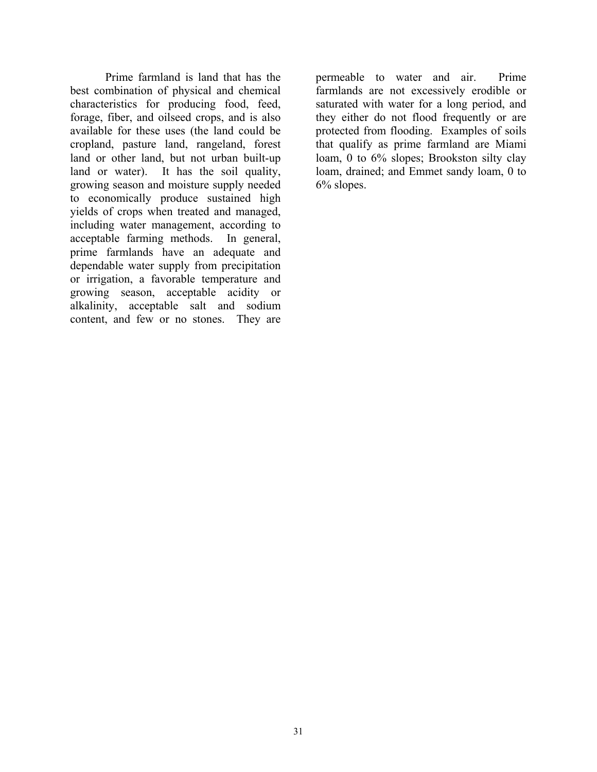Prime farmland is land that has the best combination of physical and chemical characteristics for producing food, feed, forage, fiber, and oilseed crops, and is also available for these uses (the land could be cropland, pasture land, rangeland, forest land or other land, but not urban built-up land or water). It has the soil quality, growing season and moisture supply needed to economically produce sustained high yields of crops when treated and managed, including water management, according to acceptable farming methods. In general, prime farmlands have an adequate and dependable water supply from precipitation or irrigation, a favorable temperature and growing season, acceptable acidity or alkalinity, acceptable salt and sodium content, and few or no stones. They are permeable to water and air. Prime farmlands are not excessively erodible or saturated with water for a long period, and they either do not flood frequently or are protected from flooding. Examples of soils that qualify as prime farmland are Miami loam, 0 to 6% slopes; Brookston silty clay loam, drained; and Emmet sandy loam, 0 to 6% slopes.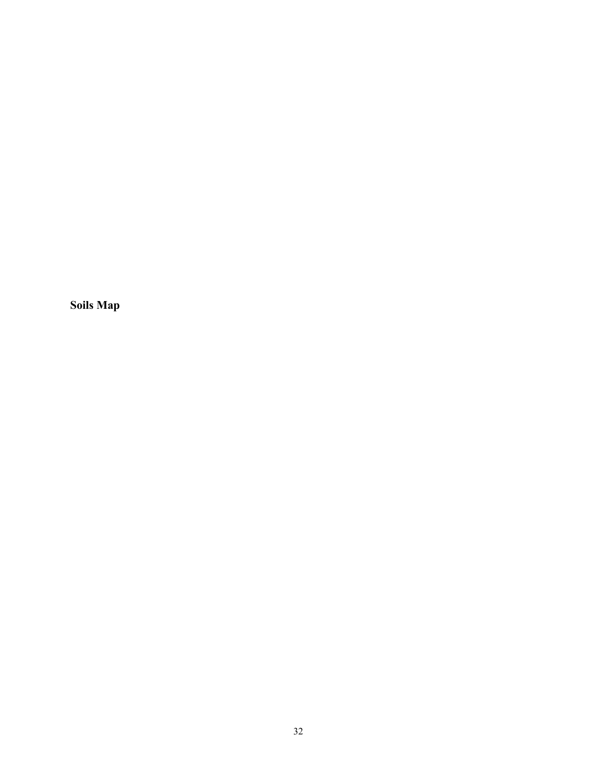<span id="page-31-0"></span>**Soils Map**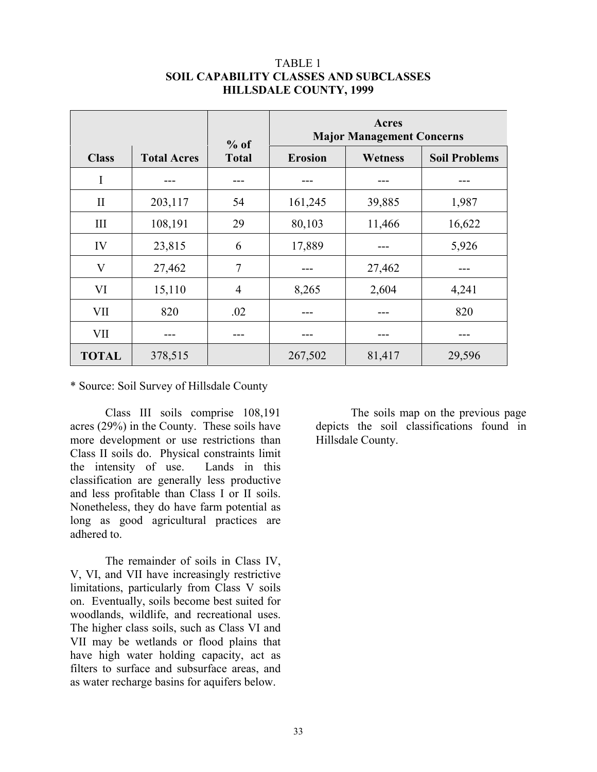|              |                    | $%$ of         |                | <b>Major Management Concerns</b> |                      |
|--------------|--------------------|----------------|----------------|----------------------------------|----------------------|
| <b>Class</b> | <b>Total Acres</b> | <b>Total</b>   | <b>Erosion</b> | Wetness                          | <b>Soil Problems</b> |
| I            |                    |                |                |                                  |                      |
| $\mathbf{I}$ | 203,117            | 54             | 161,245        | 39,885                           | 1,987                |
| III          | 108,191            | 29             | 80,103         | 11,466                           | 16,622               |
| IV           | 23,815             | 6              | 17,889         |                                  | 5,926                |
| $\rm V$      | 27,462             | 7              |                | 27,462                           |                      |
| VI           | 15,110             | $\overline{4}$ | 8,265          | 2,604                            | 4,241                |
| VII          | 820                | .02            |                |                                  | 820                  |
| VII          |                    |                |                |                                  |                      |
| <b>TOTAL</b> | 378,515            |                | 267,502        | 81,417                           | 29,596               |

### TABLE 1 **SOIL CAPABILITY CLASSES AND SUBCLASSES HILLSDALE COUNTY, 1999**

\* Source: Soil Survey of Hillsdale County

Class III soils comprise 108,191 acres (29%) in the County. These soils have more development or use restrictions than Class II soils do. Physical constraints limit the intensity of use. Lands in this classification are generally less productive and less profitable than Class I or II soils. Nonetheless, they do have farm potential as long as good agricultural practices are adhered to.

The remainder of soils in Class IV, V, VI, and VII have increasingly restrictive limitations, particularly from Class V soils on. Eventually, soils become best suited for woodlands, wildlife, and recreational uses. The higher class soils, such as Class VI and VII may be wetlands or flood plains that have high water holding capacity, act as filters to surface and subsurface areas, and as water recharge basins for aquifers below.

The soils map on the previous page depicts the soil classifications found in Hillsdale County.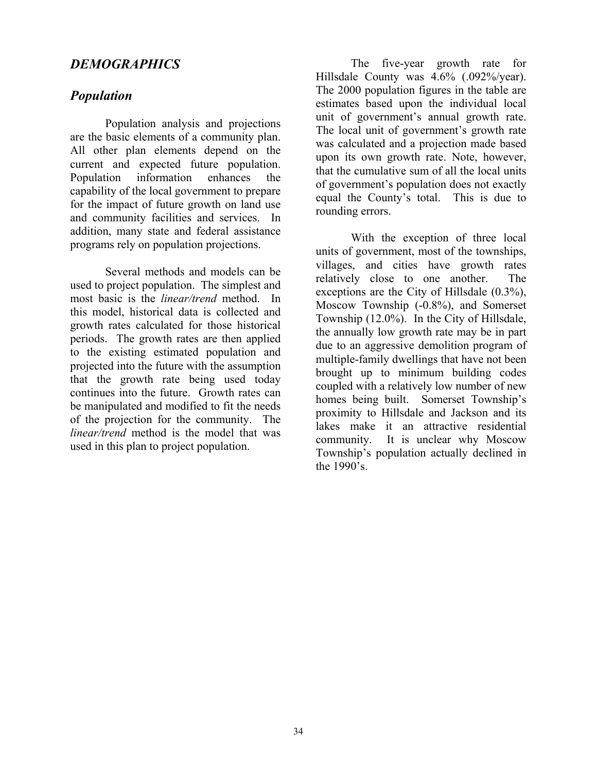# <span id="page-33-0"></span>*DEMOGRAPHICS*

# <span id="page-33-1"></span>*Population*

Population analysis and projections are the basic elements of a community plan. All other plan elements depend on the current and expected future population. Population information enhances the capability of the local government to prepare for the impact of future growth on land use and community facilities and services. In addition, many state and federal assistance programs rely on population projections.

Several methods and models can be used to project population. The simplest and most basic is the *linear/trend* method. In this model, historical data is collected and growth rates calculated for those historical periods. The growth rates are then applied to the existing estimated population and projected into the future with the assumption that the growth rate being used today continues into the future. Growth rates can be manipulated and modified to fit the needs of the projection for the community. The *linear/trend* method is the model that was used in this plan to project population.

The five-year growth rate for Hillsdale County was 4.6% (.092%/year). The 2000 population figures in the table are estimates based upon the individual local unit of government's annual growth rate. The local unit of government's growth rate was calculated and a projection made based upon its own growth rate. Note, however, that the cumulative sum of all the local units of government's population does not exactly equal the County's total. This is due to rounding errors.

With the exception of three local units of government, most of the townships, villages, and cities have growth rates relatively close to one another. The exceptions are the City of Hillsdale (0.3%), Moscow Township (-0.8%), and Somerset Township (12.0%). In the City of Hillsdale, the annually low growth rate may be in part due to an aggressive demolition program of multiple-family dwellings that have not been brought up to minimum building codes coupled with a relatively low number of new homes being built. Somerset Township's proximity to Hillsdale and Jackson and its lakes make it an attractive residential community. It is unclear why Moscow Township's population actually declined in the 1990's.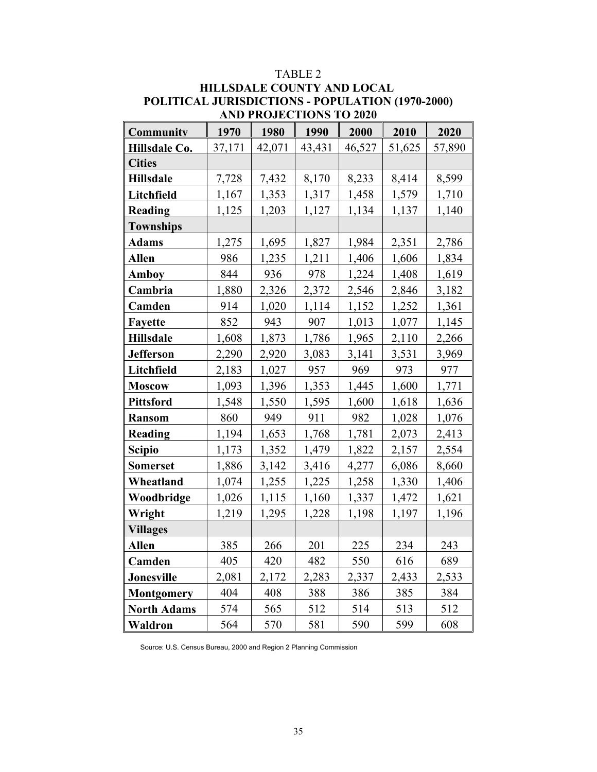| <b>AND PROJECTIONS TO 2020</b> |        |        |        |        |        |        |  |  |  |  |
|--------------------------------|--------|--------|--------|--------|--------|--------|--|--|--|--|
| <b>Community</b>               | 1970   | 1980   | 1990   | 2000   | 2010   | 2020   |  |  |  |  |
| Hillsdale Co.                  | 37,171 | 42,071 | 43,431 | 46,527 | 51,625 | 57,890 |  |  |  |  |
| <b>Cities</b>                  |        |        |        |        |        |        |  |  |  |  |
| <b>Hillsdale</b>               | 7,728  | 7,432  | 8,170  | 8,233  | 8,414  | 8,599  |  |  |  |  |
| Litchfield                     | 1,167  | 1,353  | 1,317  | 1,458  | 1,579  | 1,710  |  |  |  |  |
| <b>Reading</b>                 | 1,125  | 1,203  | 1,127  | 1,134  | 1,137  | 1,140  |  |  |  |  |
| <b>Townships</b>               |        |        |        |        |        |        |  |  |  |  |
| <b>Adams</b>                   | 1,275  | 1,695  | 1,827  | 1,984  | 2,351  | 2,786  |  |  |  |  |
| <b>Allen</b>                   | 986    | 1,235  | 1,211  | 1,406  | 1,606  | 1,834  |  |  |  |  |
| <b>Amboy</b>                   | 844    | 936    | 978    | 1,224  | 1,408  | 1,619  |  |  |  |  |
| Cambria                        | 1,880  | 2,326  | 2,372  | 2,546  | 2,846  | 3,182  |  |  |  |  |
| Camden                         | 914    | 1,020  | 1,114  | 1,152  | 1,252  | 1,361  |  |  |  |  |
| <b>Fayette</b>                 | 852    | 943    | 907    | 1,013  | 1,077  | 1,145  |  |  |  |  |
| <b>Hillsdale</b>               | 1,608  | 1,873  | 1,786  | 1,965  | 2,110  | 2,266  |  |  |  |  |
| <b>Jefferson</b>               | 2,290  | 2,920  | 3,083  | 3,141  | 3,531  | 3,969  |  |  |  |  |
| Litchfield                     | 2,183  | 1,027  | 957    | 969    | 973    | 977    |  |  |  |  |
| <b>Moscow</b>                  | 1,093  | 1,396  | 1,353  | 1,445  | 1,600  | 1,771  |  |  |  |  |
| <b>Pittsford</b>               | 1,548  | 1,550  | 1,595  | 1,600  | 1,618  | 1,636  |  |  |  |  |
| <b>Ransom</b>                  | 860    | 949    | 911    | 982    | 1,028  | 1,076  |  |  |  |  |
| Reading                        | 1,194  | 1,653  | 1,768  | 1,781  | 2,073  | 2,413  |  |  |  |  |
| <b>Scipio</b>                  | 1,173  | 1,352  | 1,479  | 1,822  | 2,157  | 2,554  |  |  |  |  |
| <b>Somerset</b>                | 1,886  | 3,142  | 3,416  | 4,277  | 6,086  | 8,660  |  |  |  |  |
| Wheatland                      | 1,074  | 1,255  | 1,225  | 1,258  | 1,330  | 1,406  |  |  |  |  |
| Woodbridge                     | 1,026  | 1,115  | 1,160  | 1,337  | 1,472  | 1,621  |  |  |  |  |
| Wright                         | 1,219  | 1,295  | 1,228  | 1,198  | 1,197  | 1,196  |  |  |  |  |
| <b>Villages</b>                |        |        |        |        |        |        |  |  |  |  |
| <b>Allen</b>                   | 385    | 266    | 201    | 225    | 234    | 243    |  |  |  |  |
| Camden                         | 405    | 420    | 482    | 550    | 616    | 689    |  |  |  |  |
| <b>Jonesville</b>              | 2,081  | 2,172  | 2,283  | 2,337  | 2,433  | 2,533  |  |  |  |  |
| Montgomery                     | 404    | 408    | 388    | 386    | 385    | 384    |  |  |  |  |
| <b>North Adams</b>             | 574    | 565    | 512    | 514    | 513    | 512    |  |  |  |  |
| Waldron                        | 564    | 570    | 581    | 590    | 599    | 608    |  |  |  |  |

# TABLE 2 **HILLSDALE COUNTY AND LOCAL POLITICAL JURISDICTIONS - POPULATION (1970-2000)**

Source: U.S. Census Bureau, 2000 and Region 2 Planning Commission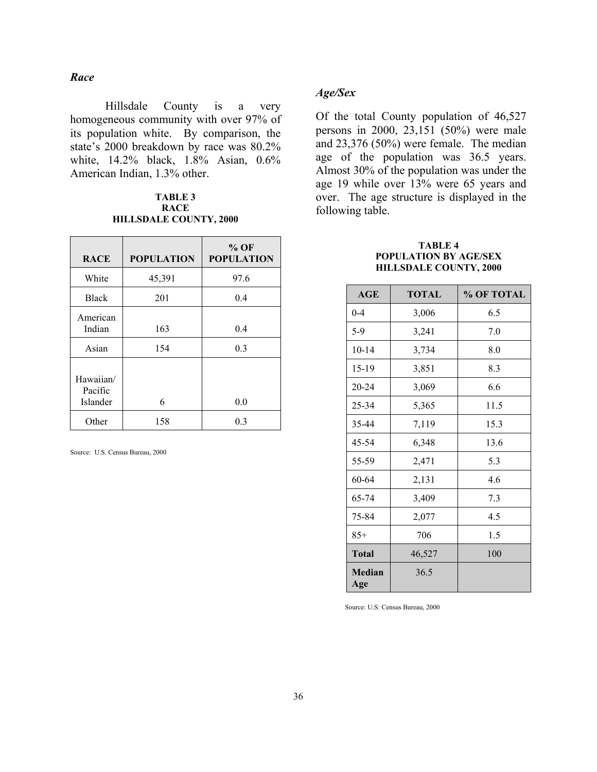### *Race*

Hillsdale County is a very homogeneous community with over 97% of its population white. By comparison, the state's 2000 breakdown by race was 80.2% white, 14.2% black, 1.8% Asian, 0.6% American Indian, 1.3% other.

### **TABLE 3 RACE HILLSDALE COUNTY, 2000**

| <b>RACE</b>                      | <b>POPULATION</b> | $%$ OF<br><b>POPULATION</b> |
|----------------------------------|-------------------|-----------------------------|
| White                            | 45,391            | 97.6                        |
| <b>Black</b>                     | 201               | 0.4                         |
| American<br>Indian               | 163               | 0.4                         |
| Asian                            | 154               | 0.3                         |
| Hawaiian/<br>Pacific<br>Islander | 6                 | 0.0                         |
| Other                            | 158               | 0.3                         |

Source: U.S. Census Bureau, 2000

### *Age/Sex*

Of the total County population of 46,527 persons in 2000, 23,151 (50%) were male and 23,376 (50%) were female. The median age of the population was 36.5 years. Almost 30% of the population was under the age 19 while over 13% were 65 years and over. The age structure is displayed in the following table.

#### **TABLE 4 POPULATION BY AGE/SEX HILLSDALE COUNTY, 2000**

| <b>AGE</b>           | <b>TOTAL</b> | % OF TOTAL |
|----------------------|--------------|------------|
| $0 - 4$              | 3,006        | 6.5        |
| $5-9$                | 3,241        | 7.0        |
| $10 - 14$            | 3,734        | 8.0        |
| 15-19                | 3,851        | 8.3        |
| 20-24                | 3,069        | 6.6        |
| 25-34                | 5,365        | 11.5       |
| 35-44                | 7,119        | 15.3       |
| 45-54                | 6,348        | 13.6       |
| 55-59                | 2,471        | 5.3        |
| 60-64                | 2,131        | 4.6        |
| 65-74                | 3,409        | 7.3        |
| 75-84                | 2,077        | 4.5        |
| $85+$                | 706          | 1.5        |
| <b>Total</b>         | 46,527       | 100        |
| <b>Median</b><br>Age | 36.5         |            |

Source: U.S: Census Bureau, 2000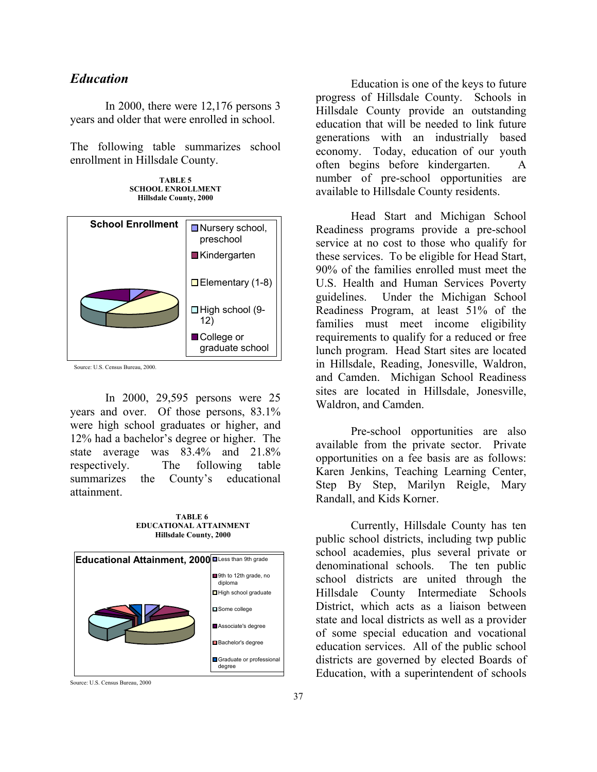## <span id="page-36-0"></span>*Education*

In 2000, there were 12,176 persons 3 years and older that were enrolled in school.

The following table summarizes school enrollment in Hillsdale County.

**TABLE 5 SCHOOL ENROLLMENT Hillsdale County, 2000**



Source: U.S. Census Bureau, 2000.

In 2000, 29,595 persons were 25 years and over. Of those persons, 83.1% were high school graduates or higher, and 12% had a bachelor's degree or higher. The state average was 83.4% and 21.8% respectively. The following table summarizes the County's educational attainment.

**TABLE 6 EDUCATIONAL ATTAINMENT Hillsdale County, 2000**

| <b>Educational Attainment, 2000</b> | Less than 9th grade                |
|-------------------------------------|------------------------------------|
|                                     | 9th to 12th grade, no<br>diploma   |
|                                     | High school graduate               |
|                                     | Some college                       |
|                                     | Associate's degree                 |
|                                     | Bachelor's degree                  |
|                                     | Graduate or professional<br>degree |
|                                     |                                    |

Source: U.S. Census Bureau, 2000

Education is one of the keys to future progress of Hillsdale County. Schools in Hillsdale County provide an outstanding education that will be needed to link future generations with an industrially based economy. Today, education of our youth often begins before kindergarten. A number of pre-school opportunities are available to Hillsdale County residents.

Head Start and Michigan School Readiness programs provide a pre-school service at no cost to those who qualify for these services. To be eligible for Head Start, 90% of the families enrolled must meet the U.S. Health and Human Services Poverty guidelines. Under the Michigan School Readiness Program, at least 51% of the families must meet income eligibility requirements to qualify for a reduced or free lunch program. Head Start sites are located in Hillsdale, Reading, Jonesville, Waldron, and Camden. Michigan School Readiness sites are located in Hillsdale, Jonesville, Waldron, and Camden.

Pre-school opportunities are also available from the private sector. Private opportunities on a fee basis are as follows: Karen Jenkins, Teaching Learning Center, Step By Step, Marilyn Reigle, Mary Randall, and Kids Korner.

Currently, Hillsdale County has ten public school districts, including twp public school academies, plus several private or denominational schools. The ten public school districts are united through the Hillsdale County Intermediate Schools District, which acts as a liaison between state and local districts as well as a provider of some special education and vocational education services. All of the public school districts are governed by elected Boards of Education, with a superintendent of schools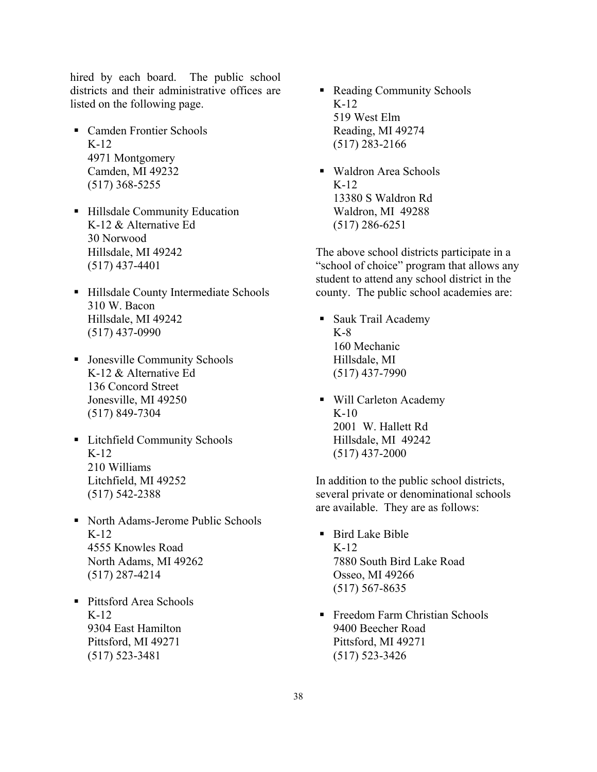hired by each board. The public school districts and their administrative offices are listed on the following page.

- Camden Frontier Schools K-12 4971 Montgomery Camden, MI 49232 (517) 368-5255
- Hillsdale Community Education K-12 & Alternative Ed 30 Norwood Hillsdale, MI 49242 (517) 437-4401
- Hillsdale County Intermediate Schools 310 W. Bacon Hillsdale, MI 49242 (517) 437-0990
- Jonesville Community Schools K-12 & Alternative Ed 136 Concord Street Jonesville, MI 49250 (517) 849-7304
- **Exercise Litchfield Community Schools** K-12 210 Williams Litchfield, MI 49252 (517) 542-2388
- North Adams-Jerome Public Schools K-12 4555 Knowles Road North Adams, MI 49262 (517) 287-4214
- Pittsford Area Schools K-12 9304 East Hamilton Pittsford, MI 49271 (517) 523-3481
- Reading Community Schools K-12 519 West Elm Reading, MI 49274 (517) 283-2166
- Waldron Area Schools K-12 13380 S Waldron Rd Waldron, MI 49288 (517) 286-6251

The above school districts participate in a "school of choice" program that allows any student to attend any school district in the county. The public school academies are:

- Sauk Trail Academy K-8 160 Mechanic Hillsdale, MI (517) 437-7990
- Will Carleton Academy K-10 2001 W. Hallett Rd Hillsdale, MI 49242 (517) 437-2000

In addition to the public school districts, several private or denominational schools are available. They are as follows:

- Bird Lake Bible K-12 7880 South Bird Lake Road Osseo, MI 49266 (517) 567-8635
- Freedom Farm Christian Schools 9400 Beecher Road Pittsford, MI 49271 (517) 523-3426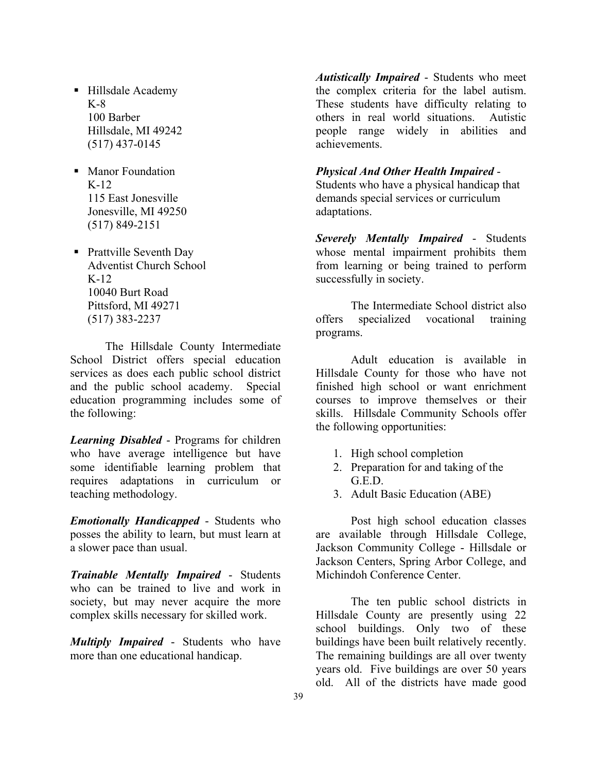- Hillsdale Academy K-8 100 Barber Hillsdale, MI 49242 (517) 437-0145
- **Manor Foundation**  $K-12$ 115 East Jonesville Jonesville, MI 49250 (517) 849-2151
- Prattville Seventh Day Adventist Church School  $K-12$ 10040 Burt Road Pittsford, MI 49271 (517) 383-2237

The Hillsdale County Intermediate School District offers special education services as does each public school district and the public school academy. Special education programming includes some of the following:

*Learning Disabled* - Programs for children who have average intelligence but have some identifiable learning problem that requires adaptations in curriculum or teaching methodology.

*Emotionally Handicapped* - Students who posses the ability to learn, but must learn at a slower pace than usual.

*Trainable Mentally Impaired* - Students who can be trained to live and work in society, but may never acquire the more complex skills necessary for skilled work.

*Multiply Impaired* - Students who have more than one educational handicap.

*Autistically Impaired* - Students who meet the complex criteria for the label autism. These students have difficulty relating to others in real world situations. Autistic people range widely in abilities and achievements.

### *Physical And Other Health Impaired* -

Students who have a physical handicap that demands special services or curriculum adaptations.

*Severely Mentally Impaired* - Students whose mental impairment prohibits them from learning or being trained to perform successfully in society.

The Intermediate School district also offers specialized vocational training programs.

Adult education is available in Hillsdale County for those who have not finished high school or want enrichment courses to improve themselves or their skills. Hillsdale Community Schools offer the following opportunities:

- 1. High school completion
- 2. Preparation for and taking of the G.E.D.
- 3. Adult Basic Education (ABE)

Post high school education classes are available through Hillsdale College, Jackson Community College - Hillsdale or Jackson Centers, Spring Arbor College, and Michindoh Conference Center.

The ten public school districts in Hillsdale County are presently using 22 school buildings. Only two of these buildings have been built relatively recently. The remaining buildings are all over twenty years old. Five buildings are over 50 years old. All of the districts have made good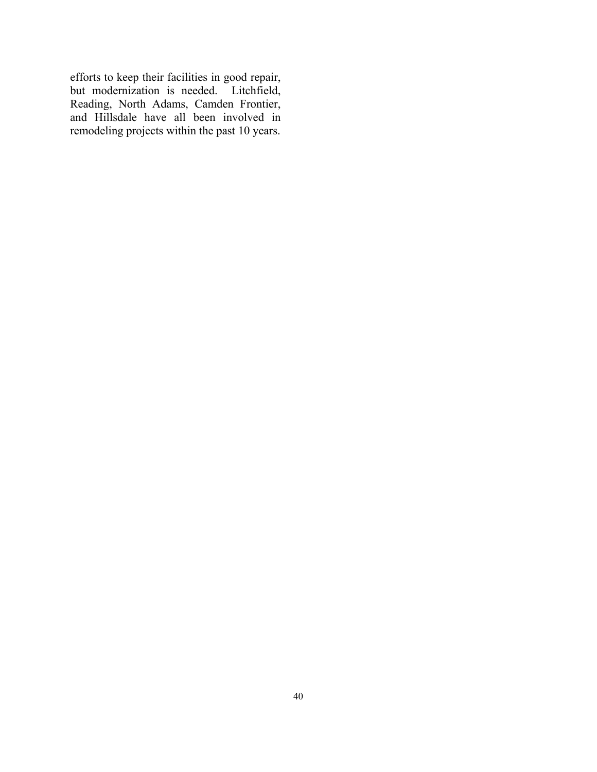efforts to keep their facilities in good repair, but modernization is needed. Litchfield, Reading, North Adams, Camden Frontier, and Hillsdale have all been involved in remodeling projects within the past 10 years.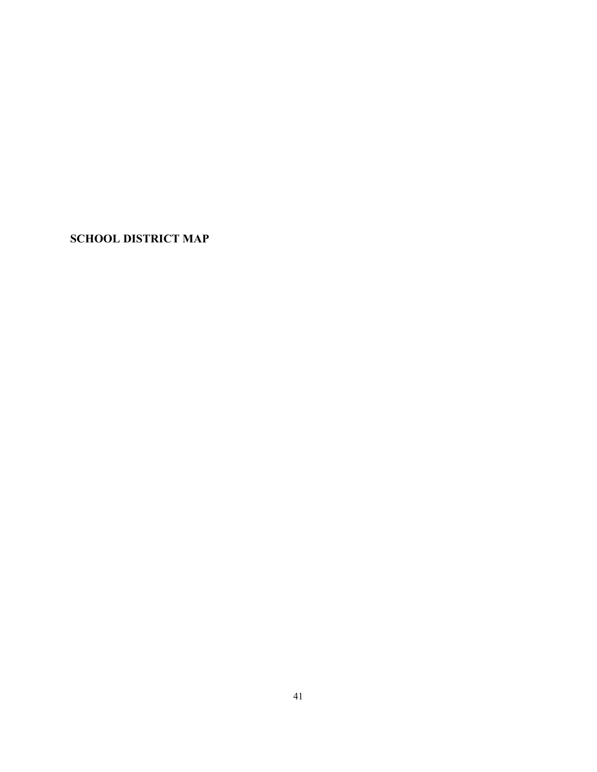<span id="page-40-0"></span>**SCHOOL DISTRICT MAP**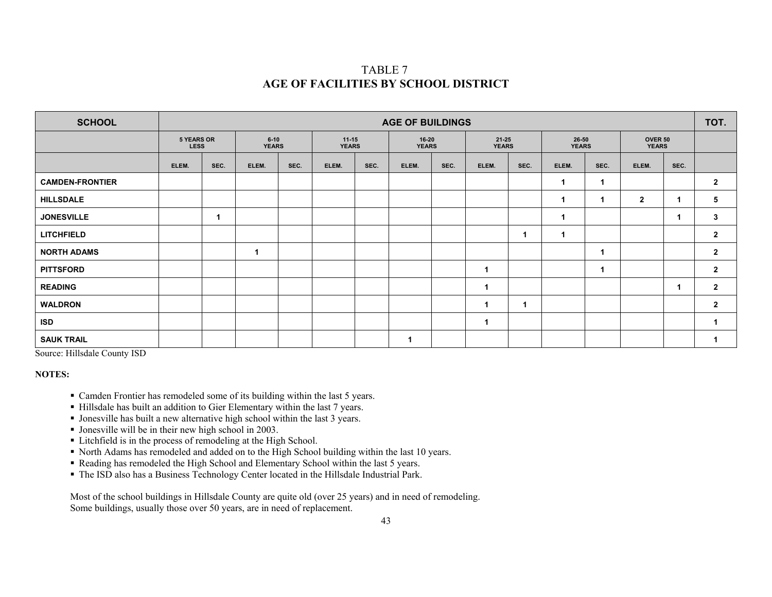## TABLE 7 **AGE OF FACILITIES BY SCHOOL DISTRICT**

| <b>SCHOOL</b>          | <b>AGE OF BUILDINGS</b>          |      |                          |      |                           |      |                       |      |                       |      |                       | TOT. |                         |      |                |
|------------------------|----------------------------------|------|--------------------------|------|---------------------------|------|-----------------------|------|-----------------------|------|-----------------------|------|-------------------------|------|----------------|
|                        | <b>5 YEARS OR</b><br><b>LESS</b> |      | $6 - 10$<br><b>YEARS</b> |      | $11 - 15$<br><b>YEARS</b> |      | 16-20<br><b>YEARS</b> |      | 21-25<br><b>YEARS</b> |      | 26-50<br><b>YEARS</b> |      | OVER 50<br><b>YEARS</b> |      |                |
|                        | ELEM.                            | SEC. | ELEM.                    | SEC. | ELEM.                     | SEC. | ELEM.                 | SEC. | ELEM.                 | SEC. | ELEM.                 | SEC. | ELEM.                   | SEC. |                |
| <b>CAMDEN-FRONTIER</b> |                                  |      |                          |      |                           |      |                       |      |                       |      | 1                     |      |                         |      | $\overline{2}$ |
| <b>HILLSDALE</b>       |                                  |      |                          |      |                           |      |                       |      |                       |      | 1                     |      | $\overline{2}$          | 1    | 5              |
| <b>JONESVILLE</b>      |                                  | -1   |                          |      |                           |      |                       |      |                       |      | 1                     |      |                         | 1    | 3              |
| <b>LITCHFIELD</b>      |                                  |      |                          |      |                           |      |                       |      |                       |      | $\mathbf 1$           |      |                         |      | $\overline{2}$ |
| <b>NORTH ADAMS</b>     |                                  |      |                          |      |                           |      |                       |      |                       |      |                       |      |                         |      | $\overline{2}$ |
| <b>PITTSFORD</b>       |                                  |      |                          |      |                           |      |                       |      | -1                    |      |                       |      |                         |      | $\overline{2}$ |
| <b>READING</b>         |                                  |      |                          |      |                           |      |                       |      |                       |      |                       |      |                         | 1    | $\overline{2}$ |
| <b>WALDRON</b>         |                                  |      |                          |      |                           |      |                       |      |                       |      |                       |      |                         |      | $\mathbf{2}$   |
| ISD                    |                                  |      |                          |      |                           |      |                       |      |                       |      |                       |      |                         |      |                |
| <b>SAUK TRAIL</b>      |                                  |      |                          |      |                           |      |                       |      |                       |      |                       |      |                         |      |                |

Source: Hillsdale County ISD

#### **NOTES:**

- Camden Frontier has remodeled some of its building within the last 5 years.
- Hillsdale has built an addition to Gier Elementary within the last 7 years.
- Jonesville has built a new alternative high school within the last 3 years.
- Jonesville will be in their new high school in 2003.
- **Litchfield is in the process of remodeling at the High School.**
- North Adams has remodeled and added on to the High School building within the last 10 years.
- Reading has remodeled the High School and Elementary School within the last 5 years.
- The ISD also has a Business Technology Center located in the Hillsdale Industrial Park.

Most of the school buildings in Hillsdale County are quite old (over 25 years) and in need of remodeling. Some buildings, usually those over 50 years, are in need of replacement.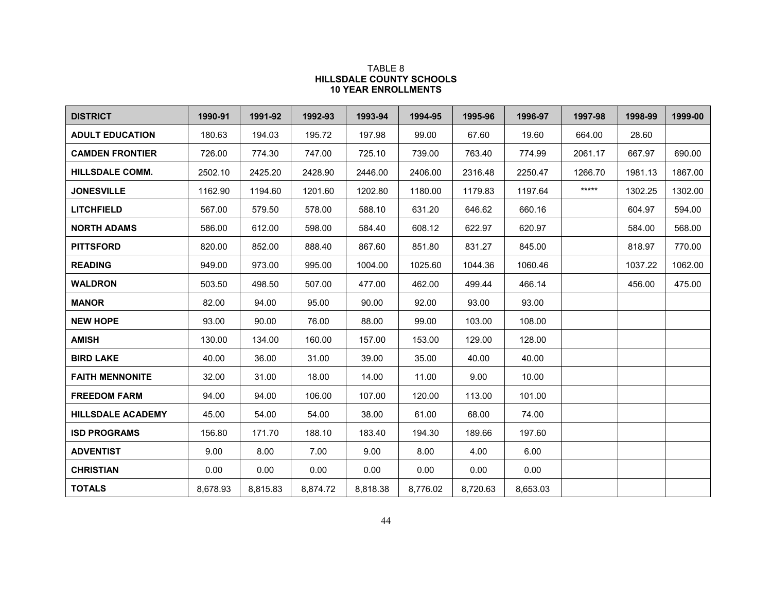### TABLE 8 **HILLSDALE COUNTY SCHOOLS 10 YEAR ENROLLMENTS**

| <b>DISTRICT</b>          | 1990-91  | 1991-92  | 1992-93  | 1993-94  | 1994-95  | 1995-96  | 1996-97  | 1997-98 | 1998-99 | 1999-00 |
|--------------------------|----------|----------|----------|----------|----------|----------|----------|---------|---------|---------|
| <b>ADULT EDUCATION</b>   | 180.63   | 194.03   | 195.72   | 197.98   | 99.00    | 67.60    | 19.60    | 664.00  | 28.60   |         |
| <b>CAMDEN FRONTIER</b>   | 726.00   | 774.30   | 747.00   | 725.10   | 739.00   | 763.40   | 774.99   | 2061.17 | 667.97  | 690.00  |
| <b>HILLSDALE COMM.</b>   | 2502.10  | 2425.20  | 2428.90  | 2446.00  | 2406.00  | 2316.48  | 2250.47  | 1266.70 | 1981.13 | 1867.00 |
| <b>JONESVILLE</b>        | 1162.90  | 1194.60  | 1201.60  | 1202.80  | 1180.00  | 1179.83  | 1197.64  | $****$  | 1302.25 | 1302.00 |
| <b>LITCHFIELD</b>        | 567.00   | 579.50   | 578.00   | 588.10   | 631.20   | 646.62   | 660.16   |         | 604.97  | 594.00  |
| <b>NORTH ADAMS</b>       | 586.00   | 612.00   | 598.00   | 584.40   | 608.12   | 622.97   | 620.97   |         | 584.00  | 568.00  |
| <b>PITTSFORD</b>         | 820.00   | 852.00   | 888.40   | 867.60   | 851.80   | 831.27   | 845.00   |         | 818.97  | 770.00  |
| <b>READING</b>           | 949.00   | 973.00   | 995.00   | 1004.00  | 1025.60  | 1044.36  | 1060.46  |         | 1037.22 | 1062.00 |
| <b>WALDRON</b>           | 503.50   | 498.50   | 507.00   | 477.00   | 462.00   | 499.44   | 466.14   |         | 456.00  | 475.00  |
| <b>MANOR</b>             | 82.00    | 94.00    | 95.00    | 90.00    | 92.00    | 93.00    | 93.00    |         |         |         |
| <b>NEW HOPE</b>          | 93.00    | 90.00    | 76.00    | 88.00    | 99.00    | 103.00   | 108.00   |         |         |         |
| <b>AMISH</b>             | 130.00   | 134.00   | 160.00   | 157.00   | 153.00   | 129.00   | 128.00   |         |         |         |
| <b>BIRD LAKE</b>         | 40.00    | 36.00    | 31.00    | 39.00    | 35.00    | 40.00    | 40.00    |         |         |         |
| <b>FAITH MENNONITE</b>   | 32.00    | 31.00    | 18.00    | 14.00    | 11.00    | 9.00     | 10.00    |         |         |         |
| <b>FREEDOM FARM</b>      | 94.00    | 94.00    | 106.00   | 107.00   | 120.00   | 113.00   | 101.00   |         |         |         |
| <b>HILLSDALE ACADEMY</b> | 45.00    | 54.00    | 54.00    | 38.00    | 61.00    | 68.00    | 74.00    |         |         |         |
| <b>ISD PROGRAMS</b>      | 156.80   | 171.70   | 188.10   | 183.40   | 194.30   | 189.66   | 197.60   |         |         |         |
| <b>ADVENTIST</b>         | 9.00     | 8.00     | 7.00     | 9.00     | 8.00     | 4.00     | 6.00     |         |         |         |
| <b>CHRISTIAN</b>         | 0.00     | 0.00     | 0.00     | 0.00     | 0.00     | 0.00     | 0.00     |         |         |         |
| <b>TOTALS</b>            | 8,678.93 | 8,815.83 | 8,874.72 | 8,818.38 | 8,776.02 | 8,720.63 | 8,653.03 |         |         |         |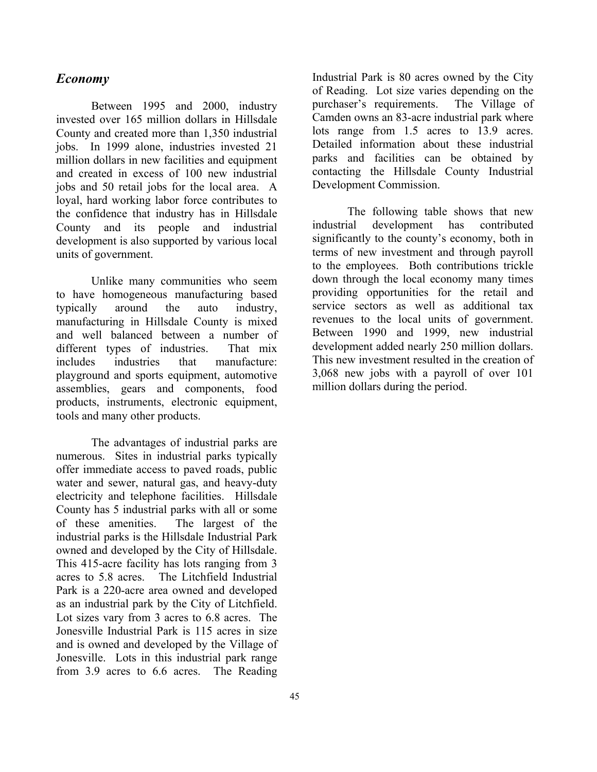## <span id="page-44-0"></span>*Economy*

Between 1995 and 2000, industry invested over 165 million dollars in Hillsdale County and created more than 1,350 industrial jobs. In 1999 alone, industries invested 21 million dollars in new facilities and equipment and created in excess of 100 new industrial jobs and 50 retail jobs for the local area. A loyal, hard working labor force contributes to the confidence that industry has in Hillsdale County and its people and industrial development is also supported by various local units of government.

Unlike many communities who seem to have homogeneous manufacturing based typically around the auto industry, manufacturing in Hillsdale County is mixed and well balanced between a number of different types of industries. That mix includes industries that manufacture: playground and sports equipment, automotive assemblies, gears and components, food products, instruments, electronic equipment, tools and many other products.

The advantages of industrial parks are numerous. Sites in industrial parks typically offer immediate access to paved roads, public water and sewer, natural gas, and heavy-duty electricity and telephone facilities. Hillsdale County has 5 industrial parks with all or some of these amenities. The largest of the industrial parks is the Hillsdale Industrial Park owned and developed by the City of Hillsdale. This 415-acre facility has lots ranging from 3 acres to 5.8 acres. The Litchfield Industrial Park is a 220-acre area owned and developed as an industrial park by the City of Litchfield. Lot sizes vary from 3 acres to 6.8 acres. The Jonesville Industrial Park is 115 acres in size and is owned and developed by the Village of Jonesville. Lots in this industrial park range from 3.9 acres to 6.6 acres. The Reading

Industrial Park is 80 acres owned by the City of Reading. Lot size varies depending on the purchaser's requirements. The Village of Camden owns an 83-acre industrial park where lots range from 1.5 acres to 13.9 acres. Detailed information about these industrial parks and facilities can be obtained by contacting the Hillsdale County Industrial Development Commission.

The following table shows that new industrial development has contributed significantly to the county's economy, both in terms of new investment and through payroll to the employees. Both contributions trickle down through the local economy many times providing opportunities for the retail and service sectors as well as additional tax revenues to the local units of government. Between 1990 and 1999, new industrial development added nearly 250 million dollars. This new investment resulted in the creation of 3,068 new jobs with a payroll of over 101 million dollars during the period.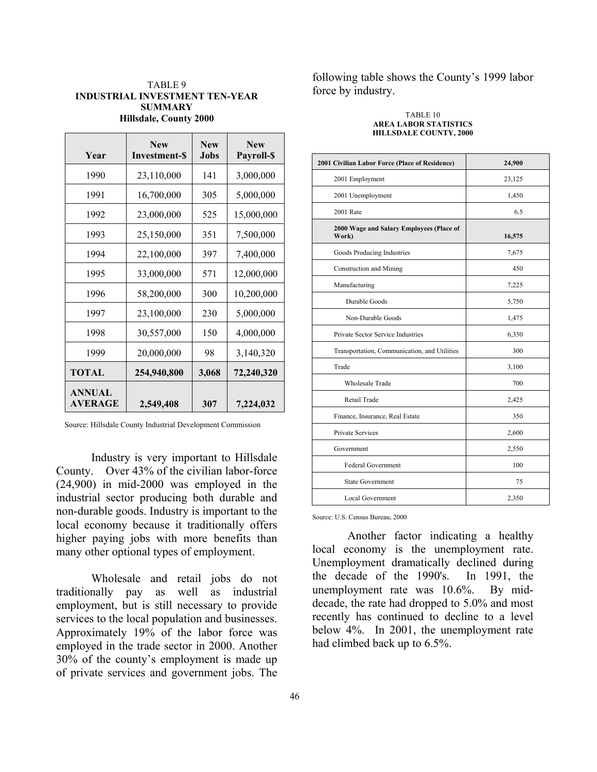### TABLE 9 **INDUSTRIAL INVESTMENT TEN-YEAR SUMMARY Hillsdale, County 2000**

| Year                            | <b>New</b><br>Investment-\$ | <b>New</b><br><b>Jobs</b> | <b>New</b><br><b>Payroll-\$</b> |
|---------------------------------|-----------------------------|---------------------------|---------------------------------|
| 1990                            | 23,110,000                  | 141                       | 3,000,000                       |
| 1991                            | 16,700,000                  | 305                       | 5,000,000                       |
| 1992                            | 23,000,000                  | 525                       | 15,000,000                      |
| 1993                            | 25,150,000                  | 351                       | 7,500,000                       |
| 1994                            | 22,100,000                  | 397                       | 7,400,000                       |
| 1995                            | 33,000,000                  | 571                       | 12,000,000                      |
| 1996                            | 58,200,000                  | 300                       | 10,200,000                      |
| 1997                            | 23,100,000                  | 230                       | 5,000,000                       |
| 1998                            | 30,557,000                  | 150                       | 4,000,000                       |
| 1999                            | 20,000,000                  | 98                        | 3,140,320                       |
| <b>TOTAL</b>                    | 254,940,800                 | 3,068                     | 72,240,320                      |
| <b>ANNUAL</b><br><b>AVERAGE</b> | 2,549,408                   | 307                       | 7,224,032                       |

Source: Hillsdale County Industrial Development Commission

Industry is very important to Hillsdale County. Over 43% of the civilian labor-force (24,900) in mid-2000 was employed in the industrial sector producing both durable and non-durable goods. Industry is important to the local economy because it traditionally offers higher paying jobs with more benefits than many other optional types of employment.

Wholesale and retail jobs do not traditionally pay as well as industrial employment, but is still necessary to provide services to the local population and businesses. Approximately 19% of the labor force was employed in the trade sector in 2000. Another 30% of the county's employment is made up of private services and government jobs. The

following table shows the County's 1999 labor force by industry.

#### TABLE 10 **AREA LABOR STATISTICS HILLSDALE COUNTY, 2000**

| 2001 Civilian Labor Force (Place of Residence)    | 24,900 |  |
|---------------------------------------------------|--------|--|
| 2001 Employment                                   | 23,125 |  |
| 2001 Unemployment                                 | 1,450  |  |
| 2001 Rate                                         | 6.5    |  |
| 2000 Wage and Salary Employees (Place of<br>Work) | 16,575 |  |
| Goods Producing Industries                        | 7,675  |  |
| Construction and Mining                           | 450    |  |
| Manufacturing                                     | 7,225  |  |
| Durable Goods                                     | 5,750  |  |
| Non-Durable Goods                                 | 1,475  |  |
| Private Sector Service Industries                 | 6,350  |  |
| Transportation, Communication, and Utilities      | 300    |  |
| Trade                                             | 3,100  |  |
| <b>Wholesale Trade</b>                            | 700    |  |
| Retail Trade                                      | 2,425  |  |
| Finance, Insurance, Real Estate                   | 350    |  |
| <b>Private Services</b>                           | 2,600  |  |
| Government                                        | 2,550  |  |
| <b>Federal Government</b>                         | 100    |  |
| <b>State Government</b>                           | 75     |  |
| <b>Local Government</b>                           | 2,350  |  |

Source: U.S. Census Bureau, 2000

Another factor indicating a healthy local economy is the unemployment rate. Unemployment dramatically declined during the decade of the 1990's. In 1991, the unemployment rate was 10.6%. By middecade, the rate had dropped to 5.0% and most recently has continued to decline to a level below 4%. In 2001, the unemployment rate had climbed back up to 6.5%.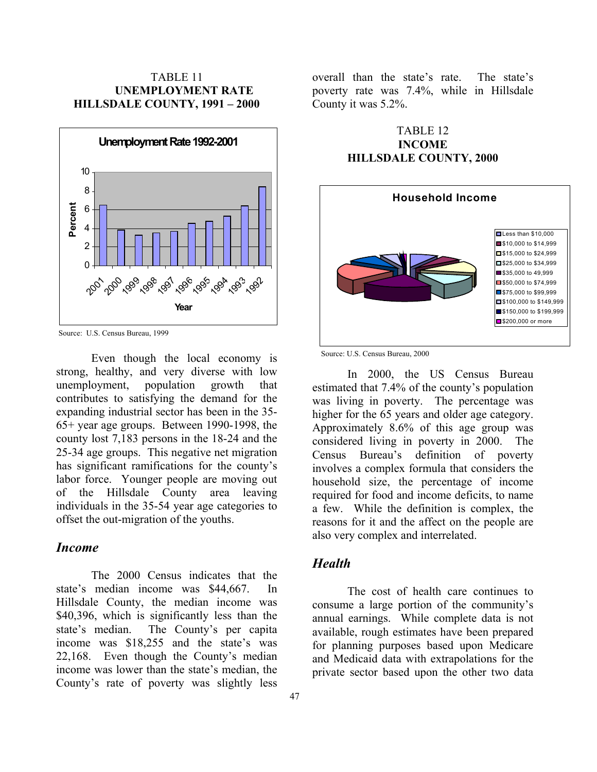## TABLE 11 **UNEMPLOYMENT RATE HILLSDALE COUNTY, 1991 – 2000**



Source: U.S. Census Bureau, 1999

Even though the local economy is strong, healthy, and very diverse with low unemployment, population growth that contributes to satisfying the demand for the expanding industrial sector has been in the 35- 65+ year age groups. Between 1990-1998, the county lost 7,183 persons in the 18-24 and the 25-34 age groups. This negative net migration has significant ramifications for the county's labor force. Younger people are moving out of the Hillsdale County area leaving individuals in the 35-54 year age categories to offset the out-migration of the youths.

## *Income*

The 2000 Census indicates that the state's median income was \$44,667. In Hillsdale County, the median income was \$40,396, which is significantly less than the state's median. The County's per capita income was \$18,255 and the state's was 22,168. Even though the County's median income was lower than the state's median, the County's rate of poverty was slightly less

overall than the state's rate. The state's poverty rate was 7.4%, while in Hillsdale County it was 5.2%.

## TABLE 12 **INCOME HILLSDALE COUNTY, 2000**



Source: U.S. Census Bureau, 2000

In 2000, the US Census Bureau estimated that 7.4% of the county's population was living in poverty. The percentage was higher for the 65 years and older age category. Approximately 8.6% of this age group was considered living in poverty in 2000. The Census Bureau's definition of poverty involves a complex formula that considers the household size, the percentage of income required for food and income deficits, to name a few. While the definition is complex, the reasons for it and the affect on the people are also very complex and interrelated.

## <span id="page-46-0"></span>*Health*

The cost of health care continues to consume a large portion of the community's annual earnings. While complete data is not available, rough estimates have been prepared for planning purposes based upon Medicare and Medicaid data with extrapolations for the private sector based upon the other two data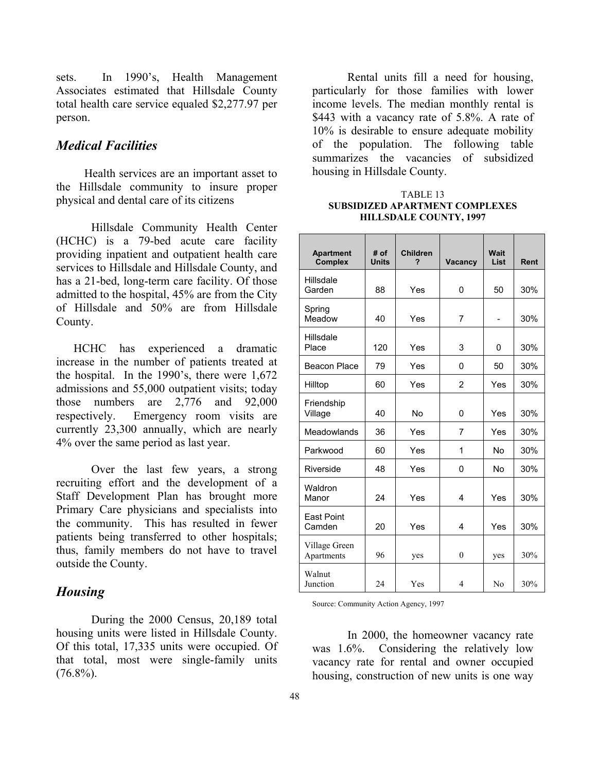sets. In 1990's, Health Management Associates estimated that Hillsdale County total health care service equaled \$2,277.97 per person.

## *Medical Facilities*

 Health services are an important asset to the Hillsdale community to insure proper physical and dental care of its citizens

Hillsdale Community Health Center (HCHC) is a 79-bed acute care facility providing inpatient and outpatient health care services to Hillsdale and Hillsdale County, and has a 21-bed, long-term care facility. Of those admitted to the hospital, 45% are from the City of Hillsdale and 50% are from Hillsdale County.

HCHC has experienced a dramatic increase in the number of patients treated at the hospital. In the 1990's, there were 1,672 admissions and 55,000 outpatient visits; today those numbers are 2,776 and 92,000 respectively. Emergency room visits are currently 23,300 annually, which are nearly 4% over the same period as last year.

Over the last few years, a strong recruiting effort and the development of a Staff Development Plan has brought more Primary Care physicians and specialists into the community. This has resulted in fewer patients being transferred to other hospitals; thus, family members do not have to travel outside the County.

## <span id="page-47-0"></span>*Housing*

During the 2000 Census, 20,189 total housing units were listed in Hillsdale County. Of this total, 17,335 units were occupied. Of that total, most were single-family units  $(76.8\%)$ .

Rental units fill a need for housing, particularly for those families with lower income levels. The median monthly rental is \$443 with a vacancy rate of 5.8%. A rate of 10% is desirable to ensure adequate mobility of the population. The following table summarizes the vacancies of subsidized housing in Hillsdale County.

### TABLE 13 **SUBSIDIZED APARTMENT COMPLEXES HILLSDALE COUNTY, 1997**

| <b>Apartment</b><br>Complex | # of<br><b>Units</b> | <b>Children</b><br>? | Vacancy                  | Wait<br>List | Rent |
|-----------------------------|----------------------|----------------------|--------------------------|--------------|------|
| Hillsdale<br>Garden         | 88                   | Yes                  | 0                        | 50           | 30%  |
| Spring<br>Meadow            | 40                   | Yes                  | 7                        |              | 30%  |
| Hillsdale<br>Place          | 120                  | Yes                  | 3                        | 0            | 30%  |
| Beacon Place                | 79                   | Yes<br>0             |                          | 50           | 30%  |
| Hilltop                     | 60                   | Yes                  | $\overline{2}$           | Yes          | 30%  |
| Friendship<br>Village       | 40                   | <b>No</b>            | 0                        | Yes          | 30%  |
| Meadowlands                 | 36                   | Yes                  | 7                        | Yes          | 30%  |
| Parkwood                    | 60                   | Yes                  | 1                        | <b>No</b>    | 30%  |
| Riverside                   | 48                   | Yes                  | 0                        | <b>No</b>    | 30%  |
| Waldron<br>Manor            | 24                   | Yes                  | 4                        | Yes          | 30%  |
| <b>East Point</b><br>Camden | 20                   | Yes                  | 4                        | Yes          | 30%  |
| Village Green<br>Apartments | 96                   | yes                  | $\mathbf{0}$             | yes          | 30%  |
| Walnut<br>Junction          | 24                   | Yes                  | $\overline{\mathcal{L}}$ | No           | 30%  |

Source: Community Action Agency, 1997

In 2000, the homeowner vacancy rate was 1.6%. Considering the relatively low vacancy rate for rental and owner occupied housing, construction of new units is one way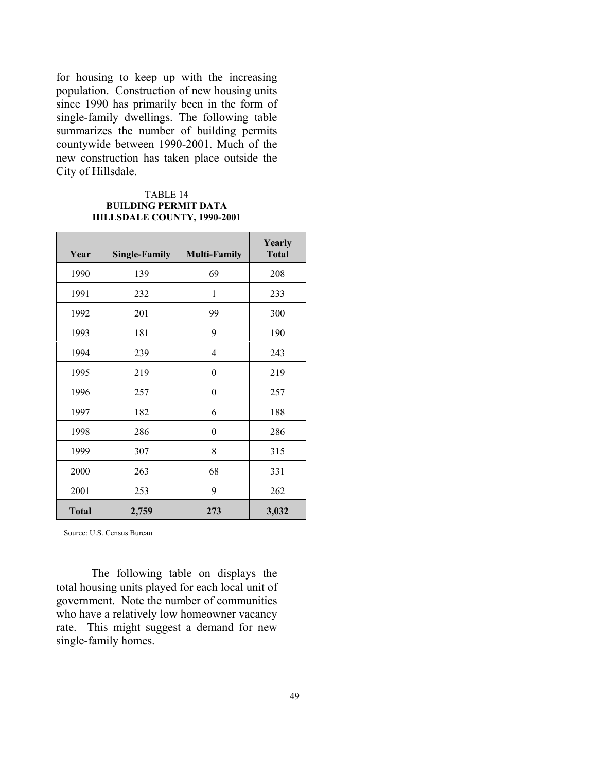for housing to keep up with the increasing population. Construction of new housing units since 1990 has primarily been in the form of single-family dwellings. The following table summarizes the number of building permits countywide between 1990-2001. Much of the new construction has taken place outside the City of Hillsdale.

### TABLE 14 **BUILDING PERMIT DATA HILLSDALE COUNTY, 1990-2001**

| Year         | <b>Single-Family</b> | <b>Multi-Family</b> | Yearly<br><b>Total</b> |
|--------------|----------------------|---------------------|------------------------|
| 1990         | 139                  | 69                  | 208                    |
| 1991         | 232                  | 1                   | 233                    |
| 1992         | 201                  | 99                  | 300                    |
| 1993         | 181                  | 9                   | 190                    |
| 1994         | 239                  | 4                   | 243                    |
| 1995         | 219                  | $\boldsymbol{0}$    | 219                    |
| 1996         | 257                  | $\theta$            | 257                    |
| 1997         | 182                  | 6                   | 188                    |
| 1998         | 286                  | 0                   | 286                    |
| 1999         | 307                  | 8                   | 315                    |
| 2000         | 263                  | 68                  | 331                    |
| 2001         | 253                  | 9                   | 262                    |
| <b>Total</b> | 2,759                | 273                 | 3,032                  |

Source: U.S. Census Bureau

The following table on displays the total housing units played for each local unit of government. Note the number of communities who have a relatively low homeowner vacancy rate. This might suggest a demand for new single-family homes.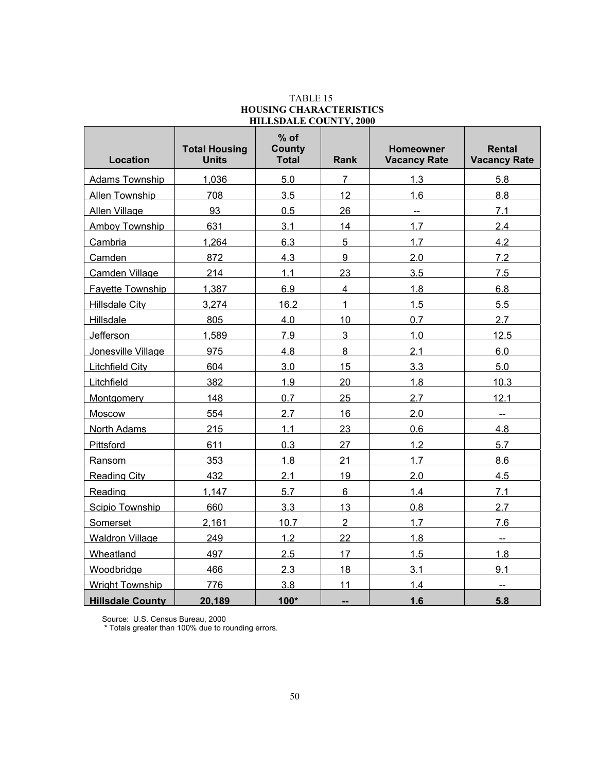| <b>Location</b>         | <b>Total Housing</b><br><b>Units</b> | $%$ of<br><b>County</b><br><b>Total</b> | Rank                     | Homeowner<br><b>Vacancy Rate</b> | <b>Rental</b><br><b>Vacancy Rate</b> |
|-------------------------|--------------------------------------|-----------------------------------------|--------------------------|----------------------------------|--------------------------------------|
| <b>Adams Township</b>   | 1,036                                | 5.0                                     | $\overline{7}$           | 1.3                              | 5.8                                  |
| Allen Township          | 708                                  | 3.5                                     | 12                       | 1.6                              | 8.8                                  |
| Allen Village           | 93                                   | 0.5                                     | 26                       | μ.                               | 7.1                                  |
| Amboy Township          | 631                                  | 3.1                                     | 14                       | 1.7                              | 2.4                                  |
| Cambria                 | 1,264                                | 6.3                                     | 5                        | 1.7                              | 4.2                                  |
| Camden                  | 872                                  | 4.3                                     | 9                        | 2.0                              | 7.2                                  |
| Camden Village          | 214                                  | 1.1                                     | 23                       | 3.5                              | 7.5                                  |
| Fayette Township        | 1,387                                | 6.9                                     | $\overline{4}$           | 1.8                              | 6.8                                  |
| <b>Hillsdale City</b>   | 3,274                                | 16.2                                    | $\mathbf{1}$             | 1.5                              | 5.5                                  |
| <b>Hillsdale</b>        | 805                                  | 4.0                                     | 10                       | 0.7                              | 2.7                                  |
| Jefferson               | 1,589                                | 7.9                                     | 3                        | 1.0                              | 12.5                                 |
| Jonesville Village      | 975                                  | 4.8                                     | 8                        | 2.1                              | 6.0                                  |
| Litchfield City         | 604                                  | 3.0                                     | 15                       | 3.3                              | 5.0                                  |
| Litchfield              | 382                                  | 1.9                                     | 20                       | 1.8                              | 10.3                                 |
| Montgomery              | 148                                  | 0.7                                     | 25                       | 2.7                              | 12.1                                 |
| Moscow                  | 554                                  | 2.7                                     | 16                       | 2.0                              | $\sim$                               |
| North Adams             | 215                                  | 1.1                                     | 23                       | 0.6                              | 4.8                                  |
| Pittsford               | 611                                  | 0.3                                     | 27                       | 1.2                              | 5.7                                  |
| Ransom                  | 353                                  | 1.8                                     | 21                       | 1.7                              | 8.6                                  |
| <b>Reading City</b>     | 432                                  | 2.1                                     | 19                       | 2.0                              | 4.5                                  |
| Reading                 | 1,147                                | 5.7                                     | $6\phantom{a}$           | 1.4                              | 7.1                                  |
| Scipio Township         | 660                                  | 3.3                                     | 13                       | 0.8                              | 2.7                                  |
| Somerset                | 2,161                                | 10.7                                    | $\overline{2}$           | 1.7                              | 7.6                                  |
| <b>Waldron Village</b>  | 249                                  | 1.2                                     | 22                       | 1.8                              | $\overline{\phantom{a}}$             |
| Wheatland               | 497                                  | 2.5                                     | 17                       | 1.5                              | 1.8                                  |
| Woodbridge              | 466                                  | 2.3                                     | 18                       | 3.1                              | 9.1                                  |
| <b>Wright Township</b>  | 776                                  | 3.8                                     | 11                       | 1.4                              | $\overline{a}$                       |
| <b>Hillsdale County</b> | 20,189                               | $100*$                                  | $\overline{\phantom{a}}$ | 1.6                              | 5.8                                  |

### TABLE 15 **HOUSING CHARACTERISTICS HILLSDALE COUNTY, 2000**

Source: U.S. Census Bureau, 2000

\* Totals greater than 100% due to rounding errors.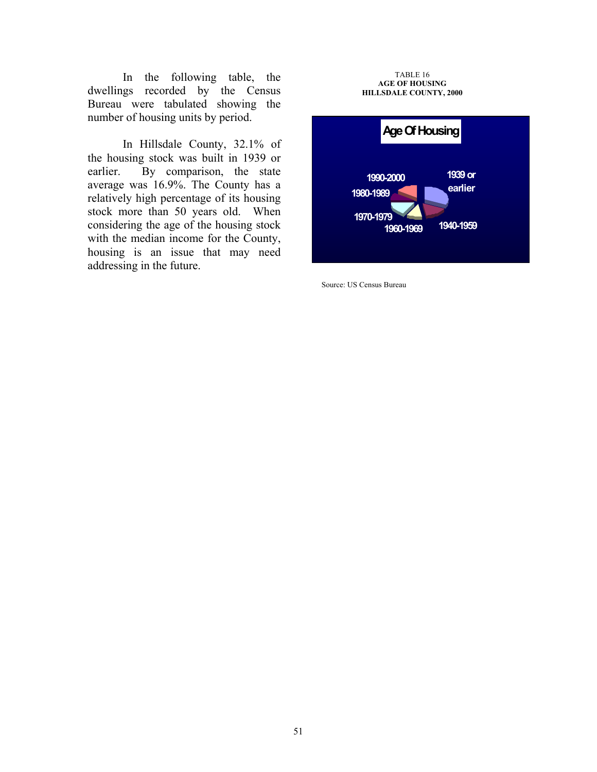In the following table, the dwellings recorded by the Census Bureau were tabulated showing the number of housing units by period.

In Hillsdale County, 32.1% of the housing stock was built in 1939 or earlier. By comparison, the state average was 16.9%. The County has a relatively high percentage of its housing stock more than 50 years old. When considering the age of the housing stock with the median income for the County, housing is an issue that may need addressing in the future.

#### TABLE 16 **AGE OF HOUSING HILLSDALE COUNTY, 2000**



Source: US Census Bureau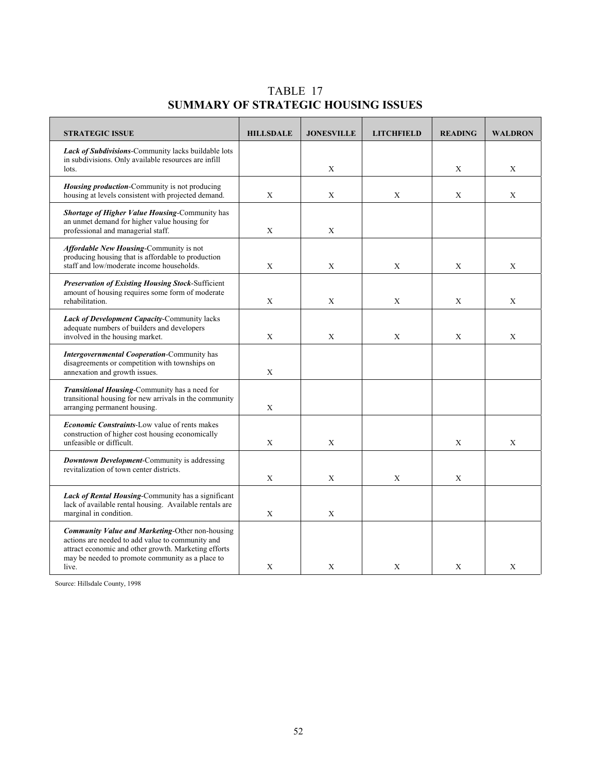TABLE 17 **SUMMARY OF STRATEGIC HOUSING ISSUES**

| <b>STRATEGIC ISSUE</b>                                                                                                                                                                                                          | <b>HILLSDALE</b> | <b>JONESVILLE</b> | <b>LITCHFIELD</b> | <b>READING</b> | <b>WALDRON</b> |
|---------------------------------------------------------------------------------------------------------------------------------------------------------------------------------------------------------------------------------|------------------|-------------------|-------------------|----------------|----------------|
| Lack of Subdivisions-Community lacks buildable lots<br>in subdivisions. Only available resources are infill<br>lots.                                                                                                            |                  | X                 |                   | X              | X              |
| Housing production-Community is not producing<br>housing at levels consistent with projected demand.                                                                                                                            | X                | X                 | X                 | X              | X              |
| <b>Shortage of Higher Value Housing-Community has</b><br>an unmet demand for higher value housing for<br>professional and managerial staff.                                                                                     | X                | X                 |                   |                |                |
| Affordable New Housing-Community is not<br>producing housing that is affordable to production<br>staff and low/moderate income households.                                                                                      | X                | X                 | X                 | X              | X              |
| <b>Preservation of Existing Housing Stock-Sufficient</b><br>amount of housing requires some form of moderate<br>rehabilitation.                                                                                                 | X                | X                 | X                 | X              | X              |
| <b>Lack of Development Capacity-Community lacks</b><br>adequate numbers of builders and developers<br>involved in the housing market.                                                                                           | X                | X                 | X                 | X              | X              |
| <b>Intergovernmental Cooperation-Community has</b><br>disagreements or competition with townships on<br>annexation and growth issues.                                                                                           | X                |                   |                   |                |                |
| Transitional Housing-Community has a need for<br>transitional housing for new arrivals in the community<br>arranging permanent housing.                                                                                         | X                |                   |                   |                |                |
| <b>Economic Constraints-Low value of rents makes</b><br>construction of higher cost housing economically<br>unfeasible or difficult.                                                                                            | X                | X                 |                   | X              | X              |
| Downtown Development-Community is addressing<br>revitalization of town center districts.                                                                                                                                        | X                | X                 | X                 | X              |                |
| Lack of Rental Housing-Community has a significant<br>lack of available rental housing. Available rentals are<br>marginal in condition.                                                                                         | X                | X                 |                   |                |                |
| <b>Community Value and Marketing-Other non-housing</b><br>actions are needed to add value to community and<br>attract economic and other growth. Marketing efforts<br>may be needed to promote community as a place to<br>live. | X                | X                 | X                 | X              | X              |

Source: Hillsdale County, 1998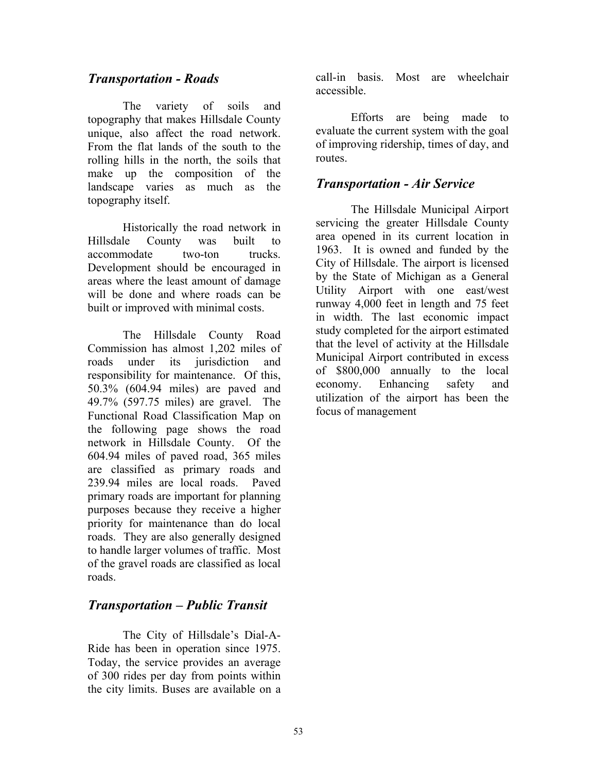## <span id="page-52-0"></span>*Transportation - Roads*

The variety of soils and topography that makes Hillsdale County unique, also affect the road network. From the flat lands of the south to the rolling hills in the north, the soils that make up the composition of the landscape varies as much as the topography itself.

Historically the road network in Hillsdale County was built to accommodate two-ton trucks. Development should be encouraged in areas where the least amount of damage will be done and where roads can be built or improved with minimal costs.

The Hillsdale County Road Commission has almost 1,202 miles of roads under its jurisdiction and responsibility for maintenance. Of this, 50.3% (604.94 miles) are paved and 49.7% (597.75 miles) are gravel. The Functional Road Classification Map on the following page shows the road network in Hillsdale County. Of the 604.94 miles of paved road, 365 miles are classified as primary roads and 239.94 miles are local roads. Paved primary roads are important for planning purposes because they receive a higher priority for maintenance than do local roads. They are also generally designed to handle larger volumes of traffic. Most of the gravel roads are classified as local roads.

# *Transportation – Public Transit*

The City of Hillsdale's Dial-A-Ride has been in operation since 1975. Today, the service provides an average of 300 rides per day from points within the city limits. Buses are available on a call-in basis. Most are wheelchair accessible.

Efforts are being made to evaluate the current system with the goal of improving ridership, times of day, and routes.

## *Transportation - Air Service*

The Hillsdale Municipal Airport servicing the greater Hillsdale County area opened in its current location in 1963. It is owned and funded by the City of Hillsdale. The airport is licensed by the State of Michigan as a General Utility Airport with one east/west runway 4,000 feet in length and 75 feet in width. The last economic impact study completed for the airport estimated that the level of activity at the Hillsdale Municipal Airport contributed in excess of \$800,000 annually to the local economy. Enhancing safety and utilization of the airport has been the focus of management